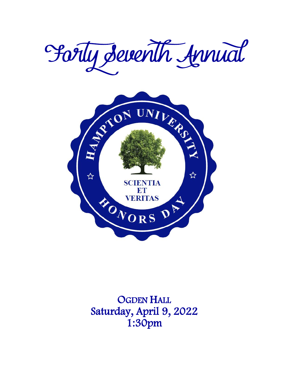



**OGDEN HALL** Saturday, April 9, 2022 1:30pm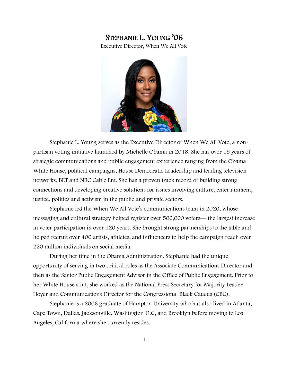# STEPHANIE L. YOUNG '06

Executive Director, When We All Vote



Stephanie L. Young serves as the Executive Director of When We All Vote, a nonpartisan voting initiative launched by Michelle Obama in 2018. She has over 15 years of strategic communications and public engagement experience ranging from the Obama White House, political campaigns, House Democratic Leadership and leading television networks, BET and NBC Cable Ent. She has a proven track record of building strong connections and developing creative solutions for issues involving culture, entertainment, justice, politics and activism in the public and private sectors.

Stephanie led the When We All Vote's communications team in 2020, whose messaging and cultural strategy helped register over 500,000 voters— the largest increase in voter participation in over 120 years. She brought strong partnerships to the table and helped recruit over 400 artists, athletes, and influencers to help the campaign reach over 220 million individuals on social media.

During her time in the Obama Administration, Stephanie had the unique opportunity of serving in two critical roles as the Associate Communications Director and then as the Senior Public Engagement Advisor in the Office of Public Engagement. Prior to her White House stint, she worked as the National Press Secretary for Majority Leader Hoyer and Communications Director for the Congressional Black Caucus (CBC).

Stephanie is a 2006 graduate of Hampton University who has also lived in Atlanta, Cape Town, Dallas, Jacksonville, Washington D.C, and Brooklyn before moving to Los Angeles, California where she currently resides.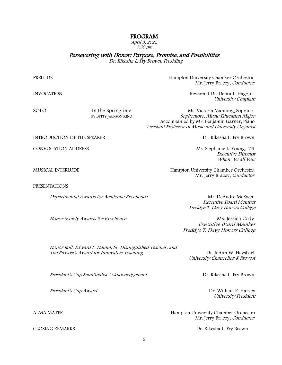## PROGRAM

April 9, 2022 1:30 pm

Persevering with Honor: Purpose, Promise, and Possibilities Dr. Rikesha L. Fry Brown, Presiding

PRELUDE Hampton University Chamber Orchestra Mr. Jerry Bracey, Conductor

Assistant Professor of Music and University Organist

INVOCATION Reverend Dr. Debra L. Haggins University Chaplain

Sophomore, Music Education Major

SOLO In the Springtime Ms. Victoria Manning, Soprano<br>BY BETTY JACKSON KING Sophomore, Music Education Majoi Accompanied by Mr. Benjamin Garner, Piano

INTRODUCTION OF THE SPEAKER **EXECUTE ASSESSMENT ASSESSMENT REPORT** DR. Rikesha L. Fry Brown

CONVOCATION ADDRESS Ms. Stephanie L. Young, '06

PRESENTATIONS

Departmental Awards for Academic Excellence Mr. DeAndre McEwen

Honor Society Awards for Excellence Ms. Jessica Cody

MUSICAL INTERLUDE Hampton University Chamber Orchestra Mr. Jerry Bracey, Conductor

> Executive Board Member Freddye T. Davy Honors College

 Executive Director When We all Vote

Executive Board Member Freddye T. Davy Honors College

Honor Roll, Edward L. Hamm, Sr. Distinguished Teacher, and The Provost's Award for Innovative Teaching The Provost's Award for Innovative Teaching

University Chancellor & Provost

President's Cup Semifinalist Acknowledgement **Dr. Rikesha L. Fry Brown** 

President's Cup Award **Dr. William R. Harvey** 

University President

ALMA MATER Hampton University Chamber Orchestra Mr. Jerry Bracey, Conductor

CLOSING REMARKS Dr. Rikesha L. Fry Brown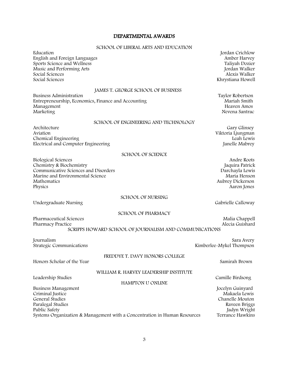# DEPARTMENTAL AWARDS

### SCHOOL OF LIBERAL ARTS AND EDUCATION

| Education<br>English and Foreign Languages<br>Sports Science and Wellness<br>Music and Performing Arts<br>Social Sciences<br>Social Sciences                 | Jordan Crichlow<br>Amber Harvey<br>Taliyah Dozier<br>Jordan Walker<br>Alexis Walker<br>Khrystiana Howell |
|--------------------------------------------------------------------------------------------------------------------------------------------------------------|----------------------------------------------------------------------------------------------------------|
| JAMES T. GEORGE SCHOOL OF BUSINESS<br><b>Business Administration</b>                                                                                         | Taylor Robertson                                                                                         |
| Entrepreneurship, Economics, Finance and Accounting<br>Management<br>Marketing                                                                               | Mariah Smith<br>Heaven Amos<br>Nevena Santrac                                                            |
| SCHOOL OF ENGINEERING AND TECHNOLOGY                                                                                                                         |                                                                                                          |
| Architecture<br>Aviation<br>Chemical Engineering<br>Electrical and Computer Engineering                                                                      | Gary Glinsey<br>Viktoria Ljungman<br>Leah Lewis<br>Janelle Mabrey                                        |
| <b>SCHOOL OF SCIENCE</b>                                                                                                                                     |                                                                                                          |
| <b>Biological Sciences</b><br>Chemistry & Biochemistry<br>Communicative Sciences and Disorders<br>Marine and Environmental Science<br>Mathematics<br>Physics | Andre Roots<br>Jaquira Patrick<br>Darchayla Lewis<br>Maria Henson<br>Aubrey Dickerson<br>Aaron Jones     |
| SCHOOL OF NURSING                                                                                                                                            |                                                                                                          |
| Undergraduate Nursing                                                                                                                                        | Gabrielle Calloway                                                                                       |
| <b>SCHOOL OF PHARMACY</b><br><b>Pharmaceutical Sciences</b><br>Pharmacy Practice<br>SCRIPPS HOWARD SCHOOL OF JOURNALISM AND COMMUNICATIONS                   | Malia Chappell<br>Alecia Guishard                                                                        |
| Journalism<br>Strategic Communications                                                                                                                       | Sara Avery<br>Kimberlee-Mykel Thompson                                                                   |
| FREDDYE T. DAVY HONORS COLLEGE                                                                                                                               |                                                                                                          |
| Honors Scholar of the Year                                                                                                                                   | Samirah Brown                                                                                            |
| WILLIAM R. HARVEY LEADERSHIP INSTITUTE<br>Leadership Studies                                                                                                 | Camille Birdsong                                                                                         |
| <b>HAMPTON U ONLINE</b>                                                                                                                                      |                                                                                                          |
| <b>Business Management</b><br>Criminal Justice                                                                                                               | Jocelyn Guinyard<br>Makaela Lewis                                                                        |
| General Studies                                                                                                                                              | Chanelle Mouton                                                                                          |
| Paralegal Studies                                                                                                                                            | Raveen Briggs                                                                                            |
| Public Safety<br>Systems Organization & Management with a Concentration in Human Resources                                                                   | Jadyn Wright<br>Terrance Hawkins                                                                         |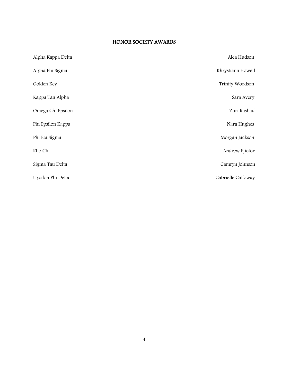### HONOR SOCIETY AWARDS

| Alpha Kappa Delta | Alea Hudson        |
|-------------------|--------------------|
| Alpha Phi Sigma   | Khrystiana Howell  |
| Golden Key        | Trinity Woodson    |
| Kappa Tau Alpha   | Sara Avery         |
| Omega Chi Epsilon | Zuri Rashad        |
| Phi Epsilon Kappa | Nara Hughes        |
| Phi Eta Sigma     | Morgan Jackson     |
| Rho Chi           | Andrew Ejiofor     |
| Sigma Tau Delta   | Camryn Johnson     |
| Upsilon Phi Delta | Gabrielle Calloway |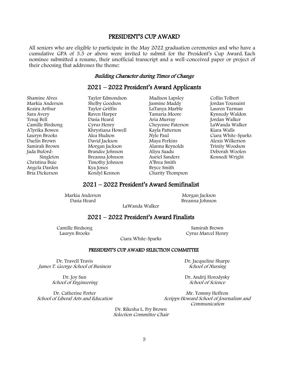# PRESIDENT'S CUP AWARD

All seniors who are eligible to participate in the May 2022 graduation ceremonies and who have a cumulative GPA of 3.5 or above were invited to submit for the President's Cup Award. Each nominee submitted a resume, their unofficial transcript and a well-conceived paper or project of their choosing that addresses the theme:

# Building Character during Times of Change

# 2021 – 2022 President's Award Applicants

Shamine Alves Markia Anderson Keaira Arthur Sara Avery Tenaj Bell Camille Birdsong A'lyrika Bowen Lauryn Brooks Daelin Brown Samirah Brown Jada Buford- Singleton Christina Buie Angela Darden Bria Dickerson

Taylor Edmondson Shelby Goodson Taylor Griffin Raven Harper Dasia Heard Cyrus Henry Khrystiana Howell Alea Hudson David Jackson Morgan Jackson Brandee Johnson Breanna Johnson Timothy Johnson Kya Jones Kendyl Kennon

Madison Lapsley Jasmine Maddy LaTanya Marble Tamaria Moore Aria Murray Cheyenne Paterson Kayla Patterson Nyle Paul Maya Perkins Alanna Reynolds Aliyu Saadu Auriel Sanders A'Brea Smith Bryce Smith Charity Thompson

Collin Tolbert Jordan Toussaint Lauren Turman Kynnedy Waldon Jordan Walker LaWanda Walker Kiara Walls Ciara White-Sparks Alexis Wilkerson Trinity Woodson Deborah Woolen Kennedi Wright

# 2021 – 2022 President's Award Semifinalist

Markia Anderson Dasia Heard

Morgan Jackson Breanna Johnson

LaWanda Walker

# 2021 – 2022 President's Award Finalists

Camille Birdsong Lauryn Brooks

Samirah Brown Cyrus Marcel Henry

Ciara White-Sparks

#### PRESIDENT'S CUP AWARD SELECTION COMMITTEE

Dr. Travell Travis James T. George School of Business

> Dr. Joy Sun School of Engineering

Dr. Catherine Porter School of Liberal Arts and Education Dr. Jacqueline Sharpe School of Nursing

Dr. Andrij Horodysky School of Science

Mr. Tommy Heffron Scripps Howard School of Journalism and Communication

Dr. Rikesha L. Fry Brown Selection Committee Chair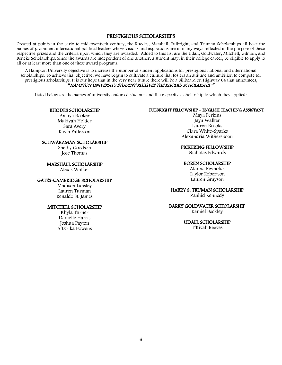### PRESTIGIOUS SCHOLARSHIPS

Created at points in the early to mid-twentieth century, the Rhodes, Marshall, Fulbright, and Truman Scholarships all bear the names of prominent international political leaders whose visions and aspirations are in many ways reflected in the purpose of these respective prizes and the criteria upon which they are awarded. Added to this list are the Udall, Goldwater, Mitchell, Gilman, and Beneke Scholarships. Since the awards are independent of one another, a student may, in their college career, be eligible to apply to all or at least more than one of these award programs.

A Hampton University objective is to increase the number of student applications for prestigious national and international scholarships. To achieve that objective, we have begun to cultivate a culture that fosters an attitude and ambition to compete for prestigious scholarships. It is our hope that in the very near future there will be a billboard on Highway 64 that announces, "HAMPTON UNIVERSITY STUDENT RECEIVES THE RHODES SCHOLARSHIP."

Listed below are the names of university endorsed students and the respective scholarship to which they applied:

### RHODES SCHOLARSHIP

Amaya Booker Makiyah Holder Sara Avery Kayla Patterson

### SCHWARZMAN SCHOLARSHIP

Shelby Goodson Jose Thomas

#### MARSHALL SCHOLARSHIP

Alexis Walker

#### GATES-CAMBRIDGE SCHOLARSHIP

Madison Lapsley Lauren Turman Renaldo St. James

#### MITCHELL SCHOLARSHIP

Khyla Turner Danielle Harris Joshua Payton A'Lyrika Bowens

### FULBRIGHT FELLOWSHIP – ENGLISH TEACHING ASSISTANT

Maya Perkins Jaya Walker Lauryn Brooks Ciara White-Sparks Alexandria Witherspoon

PICKERING FELLOWSHIP

Nicholas Edwards

#### BOREN SCHOLARSHIP

Alanna Reynolds Taylor Robertson Lauren Grayson

#### HARRY S. TRUMAN SCHOLARSHIP

Zaahid Kennedy

### BARRY GOLDWATER SCHOLARSHIP

Kamiel Beckley

#### UDALL SCHOLARSHIP

T'Kiyah Reeves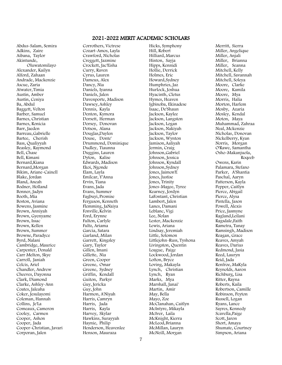### 2021-2022 MERIT ACADEMIC SCHOLARS

Abdus-Salam, Semira Adkins, Zaire Aibana, Taylor Akintunde, Oluwatomilayo Alexander, Kailyn Alford, Zahaan Andrade, Mackenzie Ascue, Zaria Atwater, Timia Austin, Amber Austin, Ceniya Ba, Abdul Baggett, Velton Barber, Samuel Barnes, Christian Barnes, Ronicia Barr, Jaeden Barreau,Gabrielle Bartee, Cherish Bass, Qualiyyah Beasley, Raymond Bell, Chase Bell, Kimani Bernard,Kiana Bernard,Morgan Bikim, Ariane-Cainell Blake, Jordan Bland, Aneah Bodner, Holland Bonner, Jadyn Booth, Mia Boston, Aviana Bowens, Jasmine Brown, Anniyah Brown, Gyenyame Brown, Issac Brown, Kellen Brown, Summer Browne, Paradyce Byrd, Nalani Cambridge, Maurice Carpenter, Donald Carr Melton, Skye Carroll, Janiah Celcis, Ariel Chandler, Andrew Cheeves, Dayonna Clark, Diamond Clarke, Ashley-Ann Coates, Jaleaha Coker, Jesulayomi Coleman, Hannah Collins, Je'La Comeaux, Cameron Cooley, Carmen Cooper, Ashon Cooper, Jada Cooper-Christian, Javari Corporan, Jalen

Corrothers, Victrese Cozart-Amos, Layla Crawford, Nicholas Creggett, Jazmine Crockett, Jac'Eisha Curry, Raven Cyrus, Lauren Dameus, Alex Dancy, Nia Daniels, Iyanna Daniels, Jalen Davenporte, Madison Dawsey, Ashley Dennis, Kayla Denton, Kymora Dorsett, Herman Dorsey, Donovan Dotson, Alana Douglas,Daylen Douse, Donte' Drummond, Dominique Dudley, Tiaunna Duggins, Lauren Dyton, Kalise Edwards, Madison Ekoi, Ngonde Elam, Layla Emilcar, Y'Anna Ervin, Tiana Evans, Jada Evans, Summer Fagbuyi, Promise Ferguson, Kenneth Flemming, JaNaiya Fonville, Kelvin Ford, Erynne Fulton, Carlyle Fultz, Ariama Garcia, Satara Garland, Milan Garrett, Kingsley Gary, Taylor Gillen, Imani Gillette, Nia Green, Cooper Greene, Omar Greene, Sydney Griffin, Kendall Guiton, Parkyr Guy, Jericka Guy, John Harmon, A'Niyah Harris, Camryn Harris, Jada Harris, Kayla Harvey, Skylar Hawkins, Surayyah Haynie, Philip Henderson, Heavenlee Henson, Mauraza

Hicks, Symphony Hill, Robert Hilliard, Marcus Hinton, Sayja Hipps, Kennidi Hollie, Derrick Holmes, Eric Howard,Sydney Humphries, Jaz Hurlock, Joshua Hyacinth, Cletus Hymes, Heaven Igbinoba, Ekinadese Isaac, De'Shaun Jackson, Kaylee Jackson, Langston Jackson, Logan Jackson, Nakiyah Jackson, Taylor Jackson, Wynton Jamison,Aaliyah Jermin, Craig Johnson,Gabriel Johnson, Jessica Johnson, Kyndall Johnson,Sydney Jones, Jaimon'E Jones, Justise Jones, Trinity Jones-Magee, Tyree Kearney, Jordyn LaFontant, Christian Lambert, Jalen Lanes, Damani Leblanc, Vigi Lee, Nolan Lester, Mackenzie Lewis, Ariana Lindsay, Jeremiah Little, Solomon Littlejohn-Russ, Tyshona Livingston, Quentin Loague, Paige Lockwood, Jordan Lofton, Bryce Loving, Makayla Lynch, Christian Lynch, Ryan Marks, Mya Marshall, Janai' Martin, Amir May, Bella Mayo, Zoe McClanahan, Caitlyn McIntyre, Mikayla McIver, Laila McKnight, Kierra McLeod,Brianna McMillan, Lauryn McNeill, Morgan

Merritt, Sierra Miller, Angelique Miller, Anjali Miller, Brianna Miller, Seanna Mitchell, Kelly Mitchell, Savannah Mitchell, Soleya Moore, Clarke Moore, Kamila Moore, Mya Morris, Halia Morton, Harlem Mosby, Azaria Mosley, Kendal Moton, Maya Muhammad, Zahraa Neal, Mckenzie Nicholas, Donovan Nickelberry, Kyan Norris, Morgan O'Rawe, Samantha Osho-Makanjuola, Roqeeb Owens, Karin Palamara, Stefano Parker, A'Shantia Paschal, Aaryn Patterson, Kayla Pepper, Caitlyn Pierce, Abigail Pierce, Alysa Pintella, Jason Powell, Alexis Price, Jasmyne Ragland,Leilani Ragsdale,Faith Rametra, Tanay Ramsingh, Madison Reagan, Grace Reaves, Amyah Reaves, Darius Redmond, Jasia Reed, Lauryn Reid, Jada Renfroe, MaKyla Reynolds, Aaron Richburg, Lisa Ritter, Rayna Roberts, Kaila Robertson, Camille Robinson, Peyton Russell, Logan Ryans, Lance Sayres, Kennedy Scavella,Paige Scott, Jaron Short, Amaya Shumate, Courtney Simpson, Ariana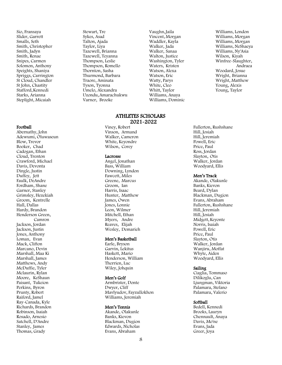Sio, Fransaya Slider, Garrett Smalls, Seth Smith, Christopher Smith, Jadyn Smith, Renae Snipes, Carmen Solomon, Anthony Speights, Shaniya Spriggs, Carrington St Cloud, Chandler St John, Chastity Stafford, Kennedi Starks, Arianna Steplight, Micaiah

### Football

Abernathy, John Adewumi, Oluwaseun Blow, Trevor Booker, Chad Cadogan, Ethan Cloud, Trenton Crawford, Michael Davis, Devonta Dingle, Justin Duffey, Jett Faulk, DeAndre Fordham, Shane Garner, Stanley Grimsley, Hezekiah Groom, Kentrelle Hall, Dallas Hardy, Brandon Henderson Green, Camron Jackson, Jordan Jackson, Justin Jones, Anthony Lomax, Evan Mack, Clifton Marcano, Devin Marshall, Maa Ki Marshall, James Matthews, Andy McDuffie, Tyler Mclaurin, Rylan Moore, KeShaun Paisant, Tukeion Perkins, Byron Prunty, Robert Raiford, Jamel Ray-Canada, Kyle Richards, Brandon Robinson, Isaiah Rosado, Arnesio Satchell, D'Andre Stanley, James Thomas, Grady

Stewart, Tre Sykes, Asad Talton, Ajada Taylor, Liya Tazewell, Brianna Tazewell, Teyanna Thompson, Leslie Thompson, Romello Thornton, Sasha Thurmond, Barbara Traore, Aminata Tyson, Tyonna Umelo, Alexandra Uzondu,Amarachukwu Varner, Brooke

Vaughn,Jaila Vincent, Morgan Waddler, Kayla Walker, Jada Walker, Sanaa Walton, Justice Washington, Tyler Waters, Kristen Watson, Alexa Watson, Eric Watty, Parys White, Cleo Whitt, Taylor Williams, Anaya Williams, Dominic

#### ATHLETES SCHOLARS 2021-2022

Viney, Robert Vinson, Armand Walker, Cameron White, Keyondre Wilson, Corey

#### Lacrosse

Angel, Jonathan Bass, William Downing, Lyndon Fawcett, Miles Greene, Marcus Groom, Ian Harris, Isaac Hunter, Matthew James, Owen Jones, Lonnie Leon, Wilmer Mitchell, Ethan Myers, Andre Reaves, Elijah Wesley, Demarieh

#### Men's Basketball

Earle, Bryson Garvin, Lekitus Haskett, Mario Henderson, William Therrien, Luc Wiley, Johquin

#### Men's Golf

Armbrister, Donte Dwyer, Cliff Mavlyudov, Fayzullokhon Williams, Jeremiah

#### Men's Tennis

Akande, Olakunle Banks, Kievon Blackman, Dugion Edwards, Nicholas Evans, Abraham

Williams, Morgan Williams, Morgan Williams, NeShaeya Williams, Ny'Asia Wilson, Kiyah Winfree-Slaughter, Andraea Woodard, Josue Wright, Brianna Wright, Matthew Young, Alexis Young, Taylor

Williams, London

Fullerton, Rushshane Hill, Josiah Hill, Jeremiah Powell, Eric Price, Paul Ross, Jordan Slayton, Otis Walker, Jordan Woodyard, Ellis

#### Men's Track

Akande, Olakunle Banks, Kievon Beard, Dylan Blackman, Dugion Evans, Abraham Fullerton, Rushshane Hill, Jeremiah Hill, Josiah Midgett, Keyonte Norris, Isaiah Powell, Eric Price, Paul Slayton, Otis Walker, Jordan Wanjiru, Moffat Whyte, Aiden Woodyard, Ellis

### Sailing

Ciaglia, Tommaso Dilikoglu, Can Ljungman, Viktoria Palamara, Stefano Palamara, Valerio

### Softball

Bedell, Kennedi Brooks, Lauryn Chennault, Anaya Davis, Mo'ne Evans, Jada Greer, Joya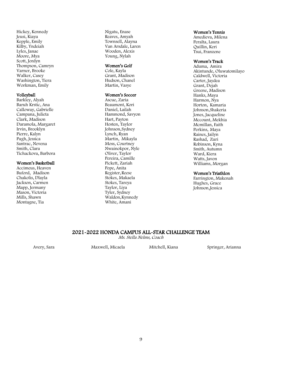Hickey, Kennedy Jeusi, Kiaya Kepple, Emily Kilby, Yndeiah Lyles, Janae Moore, Mya Scott, Jordyn Thompson, Camryn Varner, Brooke Walker, Casey Washington, Tiera Workman, Emily

#### Volleyball

Barkley, Alyah Baruh Krstic, Ana Calloway, Gabrielle Campana, Julieta Clark, Madison Daramola, Margaret Irvin, Brooklyn Pierre, Kalyn Pugh, Jessica Santrac, Nevena Smith, Clara Tichackova, Barbora

### Women's Basketball

Accimeus, Heaven Buford, Madison Chakolis, Dlayla Jackson, Carmen Mapp, Jermany Mason, Victoria Mills, Shawn Montagne, Tia

Nigatu, Enase Reaves, Amyah Townsell, Alayna Van Arsdale, Laren Wooden, Alexis Young, Nylah

### Women's Golf

Cole, Kayla Grant, Madison Hudson, Chanel Martin, Vasye

#### Women's Soccer

Ascue, Zaria Beaumont, Kori Daniel, Lailah Hammond, Savyon Hart, Payton Hosten, Taylor Johnson,Sydney Lynch, Ryan Martin, Mikayla Moss, Courtney Nwainokpor, Nyle Oliver, Taylor Pereira, Camille Pickett, Zariah Pope, Anita Register, Reese Stokes, Makaela Stokes, Tareya Taylor, Liya Tyler, Sydney Waldon,Kynnedy White, Amani

### Women's Tennis

Amedieva, Milena Peralta, Laura Quillin, Keri Tsui, Franzene

### Women's Track

Aduma, Amira Akintunde, Oluwatomilayo Caldwell, Victoria Carter, Jaydea Grant, Dejah Greene, Madison Hanks, Maya Harmon, Nya Horton, Kamaria Johnson,Shakeria Jones, Jacqueline Mccount, Mekhia Mcmillan, Faith Perkins, Maya Raines, Jailyn Rashad, Zuri Robinson, Kyna Smith, Autumn Ward, Kiera Watts, Javon Williams, Morgan

### Women's Triathlon

Farrington, Makenah Hughes, Grace Johnson,Jessica

### 2021-2022 HONDA CAMPUS ALL-STAR CHALLENGE TEAM

Ms. Stella Nelms, Coach

Avery, Sara Maxwell, Micaela Mitchell, Kiana Springer, Arianna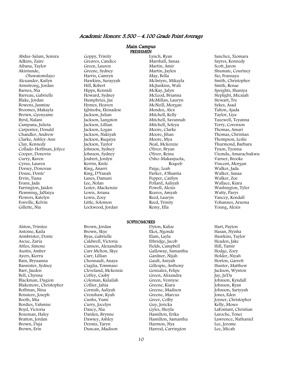### Academic Honors: 3.500 – 4.100 Grade Point Average

Main Campus **FRESHMEN** 

Abdus-Salam, Semira Adkins, Zaire Aibana, Taylor Akintunde, Oluwatomilayo Alexander, Kailyn Armstrong, Jordan Barnes, Nia Barreau, Gabrielle Blake, Jordan Bowens, Jasmine Broomes, Makayla Brown, Gyenyame Byrd, Nalani Campana, Julieta Carpenter, Donald Chandler, Andrew Clarke, Ashley-Ann Clay, Kennedy Collado-Hoffman, Jolyce Cooper, Donovin Curry, Raven Cyrus, Lauren Dorsey, Donovan Douse, Donte' Ervin, Tiana Evans, Jada Farrington, Jaiden Flemming, JaNaiya Flowers, Katelyn Fonville, Kelvin Gillette, Nia

Alston, Trinitee Antoine, Kaila Armbrister, Donte Ascue, Zaria Attles, Simone Austin, Amber Ayers, Kierra Bain, Bryuanna Bannister, Sydney Barr, Jaeden Bell, Chynna Blackman, Dugion Blakemore, Christopher Boffman, Nina Boissiere, Joseph Booth, Mia Bordies, Yahmise Boyd, Victoria Bozeman, Haley Bratton, Jordan Brown, Daja Brown, Erin

Goppy, Trinity Greaves, Candice Green, Lauren Greene, Sydney Harris, Camryn Hawkins, Surayyah Hill, Robert Hipps, Kennidi Howard, Sydney Humphries, Jaz Hymes, Heaven Igbinoba, Ekinadese Jackson, Julian Jackson, Langston Jackson, Lillian Jackson, Logan Jackson, Nakiyah Jackson, Ruqaiya Jackson, Taylor Johnson, Sydney Johnson, Sydney Joubert, Jordyn Kerrin, Knile King, Anarri King, D'Yanah Lanes, Damani Lee, Nolan Lester, Mackenzie Lewis, Ariana Lewis, Zoey Little, Solomon Lockwood, Jordan

Brown, Jordan Brown, Skye Byas, Gabrielle Caldwell, Victoria Cannon, Alexandria Carr Melton, Skye Carr, Lillian Chennault, Anaya Ciaglia, Tommaso Cleveland, Mckenzie Coffey, Casby Coleman, Kalailah Collier, Jahia Cornish, Aaliyah Crenshaw, Kyah Cunhs, Yumi Curry, Jocelyn Dancy, Nia Darden, Brynne Dawsey, Ashley Dennis, Taryn Duncan, Madison

Lynch, Ryan Marshall, Sanaa Martin, Amir Martin, Jaylen May, Bella McIntyre, Mikayla McJunkins, Wali McKay, Jalyn McLeod, Brianna McMillan, Lauryn McNeill, Morgan Mendez, Alex Mitchell, Kelly Mitchell, Savannah Mitchell, Soleya Moore, Clarke Moore, Jihan Moore, Mya Neal, Mckenzie Oliver, Bryan Oliver, Reina Osho-Makanjuola, Roqeeb Paige, Leah Parker, A'Shantia Pepper, Caitlyn Pollard, Aaliyah Powell, Alexis Reaves, Amyah Reed, Lauryn Reed, Trinity Remy, Ella

#### SOPHOMORES

Dyton, Kalise Ekoi, Ngonde Elam, Layla Ethridge, Jacob Fields, Campbell Galloway, Samantha Gardner, Nijah Gault, Aniyah Gillespie, Anthony Gonzalez, Felipe Green, Alixandra Green, Vennyse Greene, Kiara Greene, Madison Greene, Marcus Greer, Colby Guy, Jericka Gyles, Sheyla Hamilton, Erika Hamilton, Samantha Harmon, Nya Harrod, Carrington

Sanchez, Xiomara Sayres, Kennedy Scott, Jaron Shumate, Courtney Sio, Fransaya Smith, Christopher Smith, Renae Speights, Shaniya Steplight, Micaiah Stewart, Tre Sykes, Asad Talton, Ajada Taylor, Liya Tazewell, Teyanna Terry, Corenson Thomas, Amari Thomas, Christian Thompson, Leslie Thurmond, Barbara Tyson, Tyonna Uzondu, Amarachukwu Varner, Brooke Vincent, Morgan Walker, Jada Walker, Sanaa Walker, Zoe Wallace, Kiara Washington, Tyler Watty, Parys Yancey, Kendall Yohannes, Arsema Young, Alexis

Hart, Payton Hasan, Nyisha Hawkins, Taylor Headen, Jake Hill, Tamir Hodge, Zoey Holder, Niyah Horton, Garrett Hunter, Matthew Jackson, Wynton Jay, Ja'Da Johnson, Kyndall Johnson, Ryan Johnson, Sariyyah Jones, Eden Joyner, Christopher Kelly, Moses LaFontant, Christian Laroche, Tonei Lawrence, Nathaniel Lee, Jerome Lee, Micah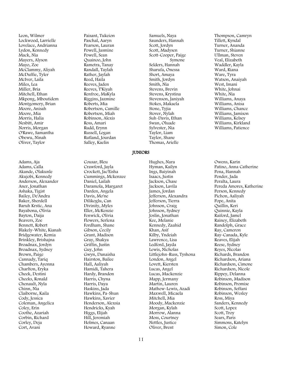Leon, Wilmer Lockwood, Larrielle Lovelace, Andrianna Lydon, Kennedy Mack, Nia Mayers, Alyson Mayo, Zoe McClammy, Aliyah McDuffie, Tyler McIver, Laila Miles, Lea Miller, Bria Mitchell, Ethan Mkpong, Mboutidem Montgomery, Brian Moore, Anisah Moore, Mia Morris, Halia Nesbitt, Amir Norris, Morgan O'Rawe, Samantha Obewu, Ninah Oliver, Taylor

Adams, Aja Adams, Calla Akande, Olakunle Akujobi, Kennedy Anderson, Alexander Aner, Jonathan Ashaka, Tigist Bailey, De'Andra Baker, Sherdell Baruh Krstic, Ana Bayabona, Olivia Bayton, Daija Beavers, Zoe Bennett, Robert Blakely-White, Kianah Bridgewater, Kemia Brinkley, Brishajna Broadnax, Jordyn Broadnax, Sydney Brown, Paige Cannady, Tariq Chambers, Ayonna Charlton, Eryka Cheek, Destini Cheeks, Ronald Chenault, Nyla Chinn, Nia Claiborne, Kaila Cody, Jessica Coleman, Angelica Coley, Erin Coothe, Azariah Corbin, Richard Corley, Deja Cort, Avani

Paisant, Tukeion Paschal, Aaryn Pearson, Lauran Powell, Jasmine Powell, Sean Quainoo, John Rametra, Tanay Randall, Taylah Rather, Jaylah Reed, Haila Reeves, Jaden Reeves, T'Kiyah Renfroe, MaKyla Riggins, Jazmine Roberts, Mia Robertson, Camille Robertson, Miah Robinson, Alexis Ross, Amari Rudd, Erynn Russell, Logan Rutland, Jourdan Salley, Kaelin

Cousar, Bleu Crawford, Jayla Crockett, Jac'Eisha Cummings, Mckenzee Daniel, Lailah Daramola, Margaret Darden, Angela Davis, Mo'ne Dilikoglu, Can Divinity, Myles Eller, McKenzie Fenwick, Olivia Flowers, Serlena Fordham, Shane Gibson, Cecily Grant, Madison Gray, Shakya Griffin, Justin Guy, John Gwyn, Danaisha Hairston, Bailee Hall, Aaliyah Hamidi, Tahera Hardy, Brandon Harris, Chyna Harris, Daya Haskins, Jada Hawkins, Pa-Shun Hawkins, Xavier Henderson, Alexsia Hendricks, Kyah Higgs, Elijah Hill, Jeremiah Holmes, Canaan Howard, Ryanne

Samuels, Naya Saunders, Hannah Scott, Jordyn Scott, Madysen Scott-Cooper, Paige Symone Selders, Hannah Sharufa, Onessa Short, Amaya Smith, Jordyn Smith, Nia Stevens, Brevin Stevens, Krystina Stevenson, Janiyah Stokes, Makaela Stone, Tyjia Stover, Nylah Suh-Davis, Ethan Swan, Oluade Sylvester, Nia Taylor, Liam Taylor, Shane Thomas, Arielle

Hughes, Nara Hyman, Kailyn Ings, Baiyinah Isaacs, Justin Jackson, Chase Jackson, Lavila James, Jordan Jefferson, Alexandra Jefferson, Tierra Johnson, Craig Johnson, Sydney Joslin, Jonathan Kee, Melanie Kennedy, Zaahid Khan, Asif Kilby, Yndeiah Lawrence, Lisa Ledford, Jayda Lewis, Nicholas Littlejohn-Russ, Tyshona London, Angel Lovett, Kiersten Lucas, Angel Lucas, Mackenzie Mapp, Jermany Martin, Lauren Mathew-Lewis, Azadi Maxwell, Micaela Mitchell, Mia Moody, Mackenzie Morgan, Kylah Morrow, Alanna Moss, Courtney Nettles, Justice Oliver, Brent

Turner, Ananda Turner, Shianne Ullman, Steven Veal, Elizabeth Waddler, Kayla Ward, Riana Ware, Tyra Watson, Anaiyah West, Imani White, Johnai White, Nia Williams, Anaya Williams, Anisa Williams, Chance Williams, Jamison Williams, Kelsey Williams, Kirkland Williams, Patience Owens, Karin

Thompson, Camryn Tillett, Kyndal

Patino, Anna Catherine Pena, Hannah Pender, Jada Peralta, Laura Pereda Amores, Katherine Person, Kennedy Pichon, Aaliyah Pope, Anita Quillin, Keri Quinnie, Kayla Raiford, Jamel Rainey, Elizabeth Randolph, Grace Ray, Cameron Ray-Canada, Kyle Reaves, Elijah Reese, Sydney Reyes, Nicolas Richards, Brandon Richardson, Ariana Richardson, Cimone Richardson, Nicole Rippey, Delanna Robinson, Madison Robinson, Promise Robinson, Seffani Robinson, Wesley Ross, Miya Sanders, Kennedy Scott, Lopez Scott, Troy Sears, Paris Simmons, Katelyn Simon, Cole

JUNIORS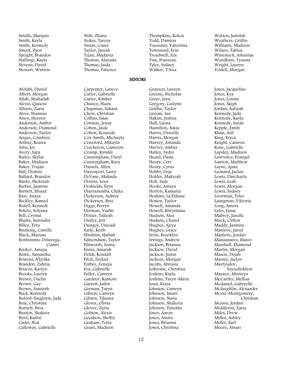Smalls, Marquis Smith, Kayla Smith, Kennedy Smoot, Zyen Speight, Brandon Stallings, Kayla Stevens, David Stewart, Warren

Afolabi, Daniel Albert, Morgan Allah, Shahadah Alexis, Qaisera Allison, Zaria Alves, Shamine Amos, Heaven Anderson, Amber Anderson, Diamond Anderson, Taylor Angus, Courtney Arthur, Keaira Artis, Joi Avery, Sara Bailey, Skylar Baker, Madison Baker, Trajan Ball, Destiny Ballard, Brandon Banks, Shekinah Barber, Jasmine Barnett, Jihaad Bass, Anaya Beckley, Kamiel Bedell, Kennedi Bekele, Solyana Bell, Crystal Bhatta, Surendra Billey, Tyra Birdsong, Camille Black, Marissa Bonhomme -Delavega, Cianni Booker, Amaya Bostic, Samantha Bowens, A'lyrika Brandon, Zahria Briscoe, Kaelyn Brooks, Lauryn Brown, Daelin Brown, Gay Brown, Samirah Buck, Kennedy Buford -Singleton, Jada Buie, Christina Burnett, Brea Buxton, Shakera Byrd, Karlin Cadet, Noa Calloway, Gabrielle

Stith, Zhana Stokes, Tareya Swain, Ciana Taylor, Janiah Tejan, Madania Thomas, Alayasia Thomas, Jaida Thomas, Patience

Carpenter, Lanece Carter, Gabrielle Carter, Kimber Chaney, Niara Chapman, Sahara Chew, Christian Collins, Isaac Conway, Jenay Cotton, Jaide Cotton, Kennedy Cox -Smith, Michayla Crawford, Mikayla Crocheron, Cameron Crump, Kyndal Cunningham, Daryl Cunningham, Kara Daniels, Allyn Davenport, Larry DeVane, Malinda Dennis, Lena Deshields, Eryn Diarrassouba, Chaka Dickerson, Aubrey Dickerson, Bria Diggs, Ferryn Dorman, Vashti Dozier, Taliyah Duffey, Jett Dungor, Umeadi Earle, Keith Ebrahim, Hafsah Edmondson, Taylor Ellsworth, Seana Ennis, Amarah Fields, Kendall Fitch, Ezekiel Forbes, Zenaya Fox, Gabrielle Fuller, Camryn Gardner, Kamoni Garrett, Jailen German, Taryn Gibson, Camryn Gibson, TiJuana Glover, Olivia Glover, Zaria Golston, Alexis Goodson, Shelby Graham, Toria Grant, Madison

Thompkins, Kekoa Todd, Damion Toussaint, Valentina Townsend, Erin Treadwell, Zoe Tsui, Franzene Tyler, Sydney Walker, T'Asia

SENIORS

Grayson, Lauren Greene, Nicholas Greer, Joya Gregory, Cailynn Griffin, Taylor Groom, Ian Hakim, Joshua Hall, Laona Hamilton, Askia Harris, Danielle Harris, Morgan Harvey, Amanda Harvey, Amber Hatley, Sydni Heard, Dasia Henry, Cori Henry, Cyrus Hobbs, Deja Holder, Makiyah Holt, Sade Hooks, Amaya Horton, Kamaria Hoskins, La'Zshane Hosten, Taylor Howell, Amanda Howell, Khrystiana Hudson, Alea Hudson, Chanel Hughes, Ajeya Hughes, Grace Irvin, Brooklyn Irvings, Andrew Jackson, Brianna Jackson, David Jackson, Justin Jackson, Morgan Jacobs, Abriana Jefferson, Christina Jenkins, Kayla Jenkins, Taryn -Marie Jeusi, Kiaya Johnson, Camryn Johnson, Imani Johnson, Nasia Johnson, Shakeria Johnson, Timothy Jones, Aaron Jones, Amira Jones, Brianna Jones, Christina

Watson, Jamilah Weathers, Griffin Williams, Madison Wilson, Tabius Winestock, Ashantae Woodham, Tyanna Wright, Lauryn Yeldell, Morgan

Jones, Jacqueline Jones, Kya Jones, Lonnie Jones, Skigh Jordan, Aaliyah Kennedy, Jada Kennedy, Kayla Kennedy, Sarah Kepple, Emily Khan, Asif King, Eryca Knight, Camron Kone, Gabrielle Lapsley, Madison Lawrence, Evangel Lawton, Matthew Layne, Ajani Leonard, Jaelan Lewis, Darchayla Lewis, Leah Lewis, Morgan Lewis, Sydney Liverman, Tyler Ljungman, Viktoria Long, Amera Lyles, Janae Mabrey, Janelle Mack, Clifton Maddy, Jasmine Manlove, Jared Manlove, Jordan Manzanares, Mateo Marshall, Diamond Martin, Morgan Mason, Dejah Massey, Jaelyn Mavlyudov, Fayzullokhon Maynor, Monieya McCarthy, Mellisa Mcdaniel, Gabryelle Mclaughlin, Alexander Mcrae -Montgomery, Christian Mcunu, Jordan Middleton, Zaria Miles, Drew Miller, Ashley Miller, Earl Moore, Amari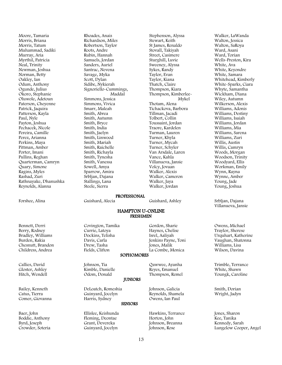Moore, Tamaria Morris, Briana Morris, Tatum Muhammad, Sadiki Murray, Aria Myrthil, Patricia Neal, Trinity Newman, Joshua Norman, Betty Oakley, Ian Odum, Anthony Ogunde, Julius Okoro, Stephanie Oluwole, Adetoun Paterson, Cheyenne Patrick, Jaquira Patterson, Kayla Paul, Nyle Payton, Joshua Pechacek, Nicole Pereira, Camille Perez, Arianna Perkins, Maya Pittman, Amber Porter, Imani Pullins, Reghan Quarterman, Camryn Quary, Simone Ragins, Myles Rashad, Zuri Rathnayake, Dhanushka Reynolds, Alanna

Rhoades, Anais Richardson, Miles Robertson, Taylor Roots, Andre Rubin, Hannah Samuels, Jordan Sanders, Auriel Santrac, Nevena Savage, Myka Scott, Dylan Sidibe, Nykierah Signoriello-Cummings, Maddal Simmons, Jessica Simmons, Vivica Smarr, Maleah Smith, Abrea Smith, Autumn Smith, Bryce Smith, India Smith, Jaelyn Smith, Linwood Smith, Mariah Smith, Raichelle Smith, Richayla Smith, Tynesha Smith, Vanessa Sowell, Amya Sparrow, Amira Srblian, Dajana Stallings, Lana Steele, Sierra

Stephenson, Alyssa Stewart, Keith St James, Renaldo Stovall, Takiyah Street, Casimere Sturghill, Luvie Sweeney, Alyssa Sykes, Randy Taylor, Evan Taylor, Kiana Thatch, Claire Thompson, Kiara Thompson, Kimberlee- Mykel Thotam, Alena Tichackova, Barbora Tillman, Jacadi Tolbert, Collin Toussaint, Jordan Traore, Kardelen Turman, Lauren Turner, Khyla Turner, Mycah Turner, Schyler Van Arsdale, Laren Vance, Kahla Villanueva, Jansie Volcy, Jovaan Walker, Alexis Walker, Cameron Walker, Jaya Walker, Jordan

#### PROFESSIONAL

Forshee, Alina Guishard, Alecia Guishard, Ashley Srbljan, Dajana

#### HAMPTON U-ONLINE FRESHMEN

Gordon, Sharie Haynes, Chelise Isrel, Aaliyah Jenkins Payne, Toni Jones, Malik La Combe, Monica

Qawwee, Ayanha Reyes, Emanuel Thompson, Remel

#### SOPHOMORES

Kimble, Danielle Odom, Donald

DeLoatch, Romeshia

Covington, Tamika Currie, Latoya Dockins, Telisha Davis, Carla Drew, Tasha Fields, Clifton

#### JUNIORS

Johnson, Galicia Reynolds, Shamela Owens, Ian Paul

Hawkins, Terrance Horton, John Johnson, Breanna Johnson, Rose

Walker, LaWanda Walton, Jessica Walton, SaRoya Ward, Asani Ward, Torian Wells-Preston, Kira White, Ava White, Keyondre White, Samara Whitehead, Kimberly White-Sparks, Ciara Whyte, Samantha Wickham, Diana Wiley, Autumn Wilkerson, Alexis Williams, Adonis Williams, Destiny Williams, Isaiah Williams, Jordan Williams, Mia Williams, Sarena Williams, Zuri Willis, Austin Willis, Camryn Woods, Morgan Woodson, Trinity Woodyard, Ellis Workman, Emily Wynn, Rayna Wynne, Amber Young, Jade Young, Joshua

Villanueva, Jansie

Owens, Michael Traylor, Sherese Urquhart, Katherine Vaughan, Shatonna Williams, Lisa Wilson, Davina

Trimble, Terrance White, Shawn Youngk, Caroline

Smith, Dorian Wright, Jadyn

Jones, Sharon Kee, Tanika Kennedy, Sarah Lungelow Cooper, Angel

Bennett, Derri Berry, Rodney Bradley, Williams Burden, Rakia Chesnutt, Brandon Childress, Andrea

Callies, David Gloster, Ashley Hitch, Wendell

Bailey, Kenneth Catus, Tierra Comer, Giovanna

Baer, John Boddie, Anthony Byrd, Joseph Crowder, Soteria Johnson, Tia

Guinyard, Jocelyn Harris, Sydney **SENIORS** 

#### Ellislee, Keishunda Fleming, Deontae Grant, Devereka Guinyard, Jocelyn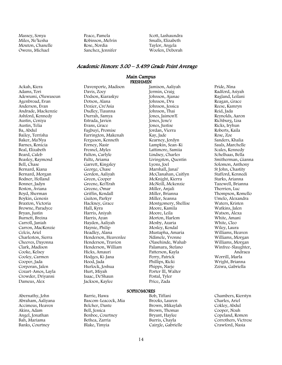Massey, Sonya Miles, Ne'kesha Mouton, Chanelle Owens, Michael

Peace, Pamela Robinson, Melvin Rose, Nordia Sanchez, Jennifer Scott, Lashaundra Smalls, Elizabeth Taylor, Angela Woolen, Deborah

### Academic Honors: 3.00 – 3.499 Grade Point Average

#### Main Campus FRESHMEN

Ackah, Kiera Adams, Tori Adewumi, Oluwaseun Agenbroad, Evan Anderson, Evan Andrade, Mackenzie Ashford, Kennedy Austin, Ceniya Austin, Telia Ba, Abdul Bailey, Terrisha Baker, Ma'Nya Barnes, Ronicia Beal, Elizabeth Beard, Caleb Beasley, Raymond Bell, Chase Bernard, Kiana Bernard, Morgan Bodner, Holland Bonner, Jadyn Boston, Aviana Boyd, Sherman Boykin, Genesis Braxton, Victoria Browne, Paradyce Bryan, Justin Burnett, Breina Carroll, Janiah Carron, MacKenzie Celcis, Ariel Charleston, Sierra Cheeves, Dayonna Clark, Madison Cooke, Kelsey Cooley, Carmen Cooper, Jada Corporan, Jalen Cozart-Amos, Layla Crowder, Driyanni Dameus, Alex

Abernathy, John Abraham, Aaliyana Accimeus, Heaven Akins, Adam Angel, Jonathan Bah, Mariama Banks, Courtney

Davenporte, Madison Davis, Zoey Dodson, Kiaraskye Dotson, Alana Dozier, Cre'Asia Dudley, Tiaunna Durrah, Samya Estrada, Javien Evans, Grace Fagbuyi, Promise Farrington, Makenah Ferguson, Kenneth Forney, Nasir Fresnel, Myles Fulton, Carlyle Fultz, Ariama Garrett, Kingsley George, Chase Gordon, Aaliyah Green, Cooper Greene, Kei'Erah Greene, Omar Griffin, Kendall Guiton, Parkyr Hackney, Grace Hall, Kyra Harris, Aniyah Harris, Ayan Hayden, Aaliyah Haynie, Philip Headley, Alana Henderson, Heavenlee Henderson, Travion Henderson, William Hicks, Amauri Hodges, Ki-Jana Hood, Jada Hurlock, Joshua Hurt, Miyah Isaac, De'Shaun Jackson, Kaylee

Barrie, Hawa

Bascom-Leacock, Mia Belcher, Dante Bell, Jessica Benboe, Courtney Bethea, Zarria Blake, Timyia

Jamison, Aaliyah Jermin, Craig Johnson, Ajanae Johnson, Dru Johnson, Jessica Johnson, Thai Jones, Jaimon'E Jones, Jene'e Jones, Justise Jordan, Vierra Kay, Jade Kearney, Jordyn Lampkin, Sean-Ki Lattimore, Samiia Lindsey, Charles Livingston, Quentin Lyons, Joel Marshall, Janai' McClanahan, Caitlyn McKnight, Kierra McNeill, Mckenzie Miller, Anjali Miller, Brianna Miller, Seanna Montgomery, Shellise Moore, Kamila Moore, Leila Morton, Harlem Mosby, Azaria Mosley, Kendal Mustapha, Amaria Ndimele, Yvonne Olasehinde, Wahab Palamara, Stefano Patterson, Kayla Perry, Patrick Phillips, Ricki Phipps, Narje Porter lll, Walter Postal, Tyler Price, Zada

### SOPHOMORES

Bob, Tiffani Brooks, Lauren Brown, Mikaylah Brown, Thomas Bryant, Haylee Burris, Chayla Cairgle, Gabrielle Pride, Nina Radford, Asiyah Ragland, Leilani Reagan, Grace Reese, Kamryn Reid, Jada Reynolds, Aaron Richburg, Lisa Ricks, Iryhun Roberts, Kaila Rose, Zoe Sanders, Khalia Sauls, Marchelle Scales, Kennedy Schelhaas, Bella Smitherman, Gianna Solomon, Anthony St John, Chastity Stafford, Kennedi Starks, Arianna Tazewell, Brianna Therrien, Luc Thompson, Romello Umelo, Alexandra Waters, Kristen Watkins, Jalen Watson, Alexa White, Amani White, Cleo Wiley, Laura Williams, Heaven Williams, Morgan Williams, Morgan Winfree-Slaughter, Andraea Worrill, Marla Wright, Brianna Zziwa, Gabriella

Chambers, Kierstyn Charles, Ariel Cokley, Abdul Cooper, Noah Copeland, Romon Corrothers, Victrese Crawford, Nasia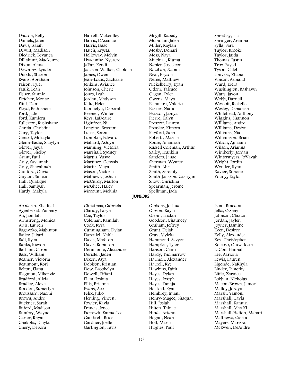Dadson, Kelly Daniels, Jalen Davis, Isaiah Dewitt, Madison Diedrick, Beyanca Dillahunt, Mackenzie Dixon, Alana Downing, Lyndon Duodu, Sharon Evans, Abraham Faison, Tyler Faulk, Leah Fisher, Sunnie Fletcher, Monae Flint, Dania Floyd, Bethlehem Ford, Jade Ford, Kamiera Fullerton, Rushshane Garcia, Christina Gary, Taylor Gerard, Mckayla Glenn-Eadie, Shaylyn Glover, Jayla Glover, Shelby Grant, Paul Gray, Savannah Gray, Shayahnah Guilford, Olivia Guyton, Simeon Hall, Quatique Hall, Samiyah Hardy, Makyla

Aboderin, Khadijat Agenbroad, Zachary Ali, Jamilah Armstrong, Monica Artis, Lauren Bagayoko, Mabintou Bailey, Jabari Ball, Ryen Banks, Kievon Barham, Caron Bass, William Beamer, Victoria Beaumont, Kori Belton, Elana Blagmon, Mikenzie Bradford, Alicia Bradley, Alexa Braxton, Sumerlyn Broussard, Naomi Brown, Andre Buckner, Sarah Buford, Madison Bumbry, Wayne Carter, Rhyan Chakolis, Dlayla Chery, Debora

Harrell, Mckenlley Harris, DAsianae Harris, Isaac Hatch, Krystal Holloway, Melvin Hyacinthe, Nyerere Ja'Far, Kendi Jackson-Walker, Cholena James, Owen Jean-Louis, Zacharie Jenkins, Aviance Johnson, Cherie Jones, Leah Jordan, Madyson Kalu, Helen Kamuelyu, Deborah Keemer, Winter Keys, LaDeaire Lightfoot, Nia Longino, Braxton Lucas, Soren Lumpkin, Edward Mallard, Ashlyn Manning, Victoria Marshall, Sydney Martin, Vasye Martinez, Genysis Martir, Maya Mason, Victoria Mathews, Joshua McCurdy, Marlon McGhee, Haley

Christmas, Gabriela Claridy, Laryn Coe, Taylor Coleman, Kamilah Cook, Kyra Cunningham, Dylan Darcuiel, Nahla Davis, Madison Davis, Robinson Deranamie, Alexander Deristel, Jaden Dixon, Asya Dobison, Kristian Dow, Brookelyn Dowell, Tiffani Elam, Joshua Ellis, Brianna Evans, Ace Felix, Julio Fleming, Vincent Fowler, Kayla Francis, Jenee Furrowh, Emma-Lee Gambrell, Brice Gardner, Joelle Garlington, Tavis

Mccount, Mekhia

Mcmillan, Jalen Miller, Kaylah Mosby, Donari Moss, Naya Muchira, Kiuma Napier, Josceleon Ndzibah, Naomi Neal, Bryson Neree, Matthew Nickelberry, Kyan Odom, Taleace Organ, Tyler Owens, Maya Palamara, Valerio Parker, Niara Pearson, Janiya Pierre, Kalyn Prescott, Lauren Pressley, Kimora Rayford, Sana Roberts, Marcia Rouse, Amairiah Russell Coleman, Arthur Salley, Franklin Sanders, Janae Sherman, Wynter Smith, Abria Smith, Serenity Smith-Jackson, Carrigan Snow, Christina Spearman, Jerome Spellman, Jada

Mcgill, Kassidy

Gibbons, Joshua Gibson, Kayla Glenn, Tristan Goodson, Chauncey Graham, Jeffrey Grant, Dejah Gray, Myieka Hammond, Savyon Hampton, Tyler Hanson, Ciara Hardy, Thomarrow Harmon, Alexander Harrell, Kye Hawkins, Faith Hayes, Dylan Hayes, Joseph Hayes, Tanaja Heiskell, Ryan Hembrey, Imani Henry-Magee, Shaquai Hill, Josiah Hilton, Tahjae Hinds, Arianna Hogan, Noah Holt, Maria Hughes, Paul

Spradley, Tia Springer, Arianna Sylla, Sara Taylor, Brooke Taylor, Jaida Thomas, Justin Troy, Fayed Tyson, Caleb Univers, Zhana Vinson, Armand Ward, Kiera Washington, Rashawn Watts, Javon Webb, Darnell Wescott, Rickelle Wesley, Demarieh Whitehead, Anthony Wiggins, Shannon Williams, Andre Williams, Destyn Williams, Nia Williamson, Brian Wilson, Ajmaani Wilson, Arianna Wimberly, Jordan Wintermyers, Jo'Vayah Wright, Jordin Wynder, Ryan Xavier, Simone Young, Taylor

Isom, Braedon Jelks, O'Shay Johnson, Claxton Jordan, Jaylen Joyner, Jasmine Keen, Desiree Kelly, Alexander Key, Christopher Koleoso, Oluwatosin LaCon, Hannah Lee, Aariona Lewis, Lauren Ligonde, NaKhyla Linder, Timothy Little, Zarnice Lobban, Nicholas Macon-Brown, Jamori Malloy, Jordyn Marsh, Yamoni Marshall, Cayla Marshall, Kamuri Marshall, Maa Ki Marshall-Hatton, Mahari Matthews, Cierra Mayers, Marissa McEwen, DeAndre

**IUNIORS**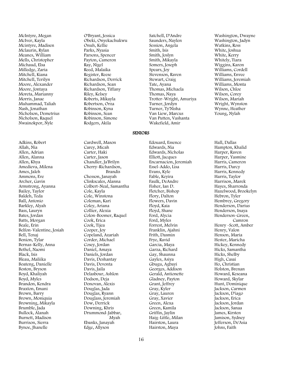McIntyre, Megan McIver, Kayla Mcintyre, Madisen Mclaurin, Rylan Meanes, William Mells, Christopher Michaud, Elsa Milledge, Zaria Mitchell, Kiana Mitchell, Terilyn Moore, Alexander Moore, Jontaya Moreta, Marianny Morris, Janae Muhammad, Taliah Nash, Jonathan Nicholson, Demetrius Nicholson, Raquel Nwainokpor, Nyle

Adkins, Robert Allah, Nia Allen, Adrian Allen, Alanna Allen, Khya Amedieva, Milena Ames, Jaleh Ammons, Eve Archer, Gavin Armstrong, Ayanna Bailey, Taylor Baldeh, Teda Ball, Antonio Barkley, Alyah Bass, Lauryn Bates, Jordan Batts, Morgan Beale, Erin Belfon-Valentine, Josiah Bell, Tenaj Benion, Tylar Bernas-Kelly, Anna Bethel, Naomi Black, Isis Bleau, Maliika Boateng, Danielle Boston, Bryson Boyd, Khaliyah Boyd, Myles Brandon, Kendra Braxton, Emani Brown, Barry Brown, Moniquia Browning, Mikayla Brumble, Jada Bullock, Alanah Burnett, Madison Burrison, Sierra Bynoe, Jhanelle

O'Bryant, Jessica Obeki, Onyekachukwu Onuh, Kellie Parks, Nyasia Parsons, Spencer Payton, Cameron Ray, Nigel Reed, Malaika Register, Reese Richardson, Derrick Richardson, Sean Richardson, Tiffany Riley, Kelsey Roberts, Mikayla Robertson, Orza Robinson, Kyna Robinson, Sean Robinson, Simone Rodgers, Akila

Cardwell, Mason Carey, Micah Carter, Haki Carter, Jason Chandler, Ja'Brilyn Cherry-Richardson, Brandis Chesson, Janayah Clinkscales, Alanna Colbert-Neal, Samantha Cole, Kayla Cole, Winstona Coleman, Kari Coley, Ariana Collier, Alexia Colon-Boomer, Raquel Cook, Erica Cook, Tijea Cooper, Joy Copeland, Azariah Corder, Michael Cosey, Jordan Daniel, Amaya Daniels, Jordan Davis, Deshantay Davis, Devonta Davis, Jaila Delasbour, Ashlon Dodson, Deja Donovan, Alexis Douglas, Jada Douglas, Ryann Douglass, Jeremiah Dow, Derrick Downing, Khris Drummond-Jabbar, Myah Ebanks, Janayah Edge, Allyson

Satchell, D'Andre Saunders, Naylen Session, Angela Smith, Isis Smith, Joslyn Smith, Mikayla Somers, Joseph Spears, Joy Stevenson, Raven Stewart, Craig Tate, Ayana Thomas, Michaela Thomas, Naya Trotter-Wright, Amuriya Turner, Jordyn Turner, Ty'Nisha Van Liew, Marcus Van Putten, Vashanta Wakefield, Amir

Edouard, Essence Edwards, Nia Edwards, Nicholas Elliott, Jacques Encarnacion, Jeremiah Essel-Addo, Lisa Evans, Kyle Fable, Keyira Faulk, DeAndre Fisher, Ian D. Fletcher, Bishop Flory, Dalton Flowers, Davin Floyd, Kaia Floyd, Shane Ford, Alycia Ford, Myles Forrest, Melvin Franklin, Ajahni Frith, Dasmin Frye, Ravid Garcia, Maya Garza, Richard Gay, Shaunna Gayles, Asiya Gbugu, Agbayi Georges, Addison Gerald, Antionette Gladney, Payton Grant, Jeffrey Gray, Kyler Gray, Lauren Gray, Xavier Green, Alexa Green, Kamila Griffin, Jaylin Haig-Little, Milan Hairston, Laura Hairston, Maya

Washington, Dwayne Washington, Jadyn Watkins, Ross White, Joshua White, Kerry Whitely, Tiara Wiggins, Karon Williams, Cordell Williams, Envee Williams, Jeremiah Williams, Monta Wilson, Chloe Wilson, Corey Wilson, Mariah Wright, Wynston Wynne, Heather Young, Nylah

Hall, Dallas Hampton, Khalid Harper, Raven Harper, Yasmine Harris, Cameron Harris, Darcy Harris, Kennedy Harris, Taylor Harrison, Marek Hayes, Sharronda Hazelwood, Brookelyn Hebron, Tyler Hembrey, Gregory Henderson, Darius Henderson, Inaya Henderson-Green, Camron Henry -Scott, Amber Henry, Valon Henson, Maria Hester, Maricha Hickey, Kennedy Hicks, Samantha Hicks, Shelby High, Casai Ho, Christian Holston, Brenan Howard, Keseana Howard, Skylar Hunt, Dominique Jackson, Carmen Jackson, D'iago Jackson, Erica Jackson, Jordan Jackson, Sanaa James, Kirsten Jamison, Sydney Jefferson, De'Asia Johns, Faith

**SENIORS**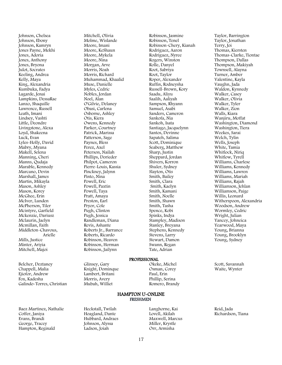Johnson, Chelsea Johnson, Ebony Johnson, Kamryn Jones Payne, Mekhi Jones, Adoria Jones, Anthony Jones, Bryona Julot, Socrates Keeling, Andrea Kelly, Maya King, Alexandria Kumbuka, Fadya Lagarde, Jenai Lampkins, DessaRae Lanzo, Shaquille Lawrence, Russell Leath, Imani Lindsey, Vashti Little, Deondre Livingstone, Alexa Loyd, Shakeena Luck, Evan Lyles-Holly, David Mabry, Myana Makell, Selena Manning, Cheri Manns, Qudaja Marable, Kennedy Marcano, Devin Marshall, James Martin, Mikayla Mason, Ashley Mason, Korey McGhee, Erin McIver, Lunden McPherson, Tiler Mcintyre, Garfield Mckenzie, Dariusz Mclaurin, Jaelyn Mcmillan, Faith Middleton-Chavous, Arielle Mills, Justice Minter, Ariyia Mitchell, Majoi

Belcher, Deztaney Chappell, Malia Ejiofor, Andrew Fox, Kadesha Galindo-Torres, Christian

Baez Martinez, Nathalie Coffer, Janiya Evans, Brandi George, Tracey Hampton, Reginald

Molme, Wislande Moore, Imani Moore, KeShaun Moore, Mykela Moore, Nina Morgan, Arve Morris, Noah Morris, Richard Muhammad, Khaalid Muse, Danielle Myles, Cedric Nobles, Jordan Noel, Alan O'Gilvie, Delaney Obasi, Carlena Osborne, Ashley Otis, Kiera Owens, Kennedy Parker, Courtney Patrick, Marissa Patterson, Sage Paynes, Bless Perez, Axel Peterson, Nailah Phillips, Dorieder Philpot, Cameron Pierre-Louis, Kassia Pinckney, Jalynn Pinto, Nina Powell, Eric Powell, Paxtin Powell, Taya Pratt, Amaya Preston, Earl Pryor, Cole Pugh, Clinton Pugh, Jessica Randleman, Diana Revis, Ashante Roberts Jr., Barrance Roberts, Ricardo Robinson, Heaven Robinson, Herman Robinson, Jailynn

Mitchell, Olivia

Robinson, Jasmine Robinson, Tenel Robinson-Chery, Kianah Rodriguez, Aaron Rodriguez, Nyree Rogers, Winston Rolle, Danyel Root, Sabriya Root, Taylor Roper, Alexander Ruffin, Rodneysha Russell-Brown, Kory Saadu, Aliyu Saalih, Aaliyah Sampson, Rhyann Samuel, Asabi Sanders, Cameron Sankofa, Nia Sankoh, Isata Santiago, Jacquelynn Santos, Devinne Sapateh, Salima Scott, Dominique Seaberg, Matthew Sharp, Justin Sheppard, Jordan Shivers, Korron Shuler, Sydney Slayton, Otis Smith, Bailey Smith, Clara Smith, Kaelyn Smith, Kamani Smith, Noelle Smith, Shawn Smith, Tasha Spence, Kobi Spinks, Indya Stampley, Madison Stanley, Breyana Stephens, Kennedy Stevens, Larry Stewart, Damon Swann, Regan Tate, Adrian

#### PROFESSIONAL

Okeke, Michel Osman, Corey Paul, Erin Phillip, Serina Romero, Brandy

#### HAMPTON U-ONLINE FRESHMEN

Heckstall, Twilah Hoagland, Dante Hubbard, Andraes Johnson, Alyssa Ladson, Joiah

Glinsey, Gary Knight, Dominque Lambert, Britani Morris, Avery Mubah, Williet

Taylor, Barrington Taylor, Jonathan Terry, Joi Thomas, Kiersten Thomas-Clarke, Tiontae Thompson, Dallas Thompson, Makiyah Townsell, Alayna Turner, Amber Valentine, Kayla Vaughn, Jada Waldon, Kynnedy Walker, Casey Walker, Olivia Walker, Tyler Walker, Zion Walls, Kiara Wanjiru, Moffat Washington, Diamond Washington, Tiera Weekes, Sarai Welch, Tylin Wells, Joseph White, Tamia Whitlock, Niriq Whitlow, Tyrell Williams, Charlese Williams, Kennedy Williams, Lawren Williams, Mariah Williams, Rajah Williamson, Jehlan Williamson, Paige Willis, Leonard Witherspoon, Alexandria Woodson, Andrew Wormley, Cedric Wright, Julian Yancey, Johneica Yearwood, Maya Young, Brianna Young, Brooklyn Young, Sydney

Scott, Savannah Waite, Wynter

Reid, Jada Richardson, Tiana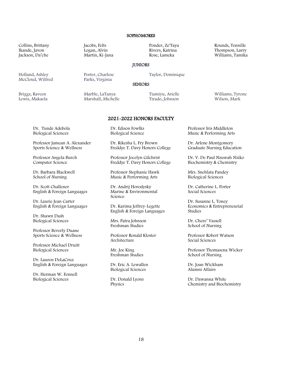#### **SOPHOMORES**

Collins, Brittany Ikande, Javon Jackson, Da'che

Holland, Ashley McCloud, Wilfred

Briggs, Raveen Lewis, Makaela Jacobs, Felts Logan, Alvin Martin, Ki-Jana

Porter, Charlese Parks, Virginia

Marble, LaTanya Marshall, Michelle Ponder, Ze'Taya Rivers, Katrina Rose, Lameka

#### **IUNIORS**

Taylor, Dominique

#### **SENIORS**

Tiamiyu, Arielle Tirado, Johnson

Williams, Tyrone Wilson, Mark

# 2021-2022 HONORS FACULTY

Dr. Tunde Adebola Biological Sciences

Professor Jamean A. Alexander Sports Science & Wellness

Professor Angela Burch Computer Science

Dr. Barbara Blackwell School of Nursing

Dr. Scott Challener English & Foreign Languages

Dr. Laurie Jean Carter English & Foreign Languages

Dr. Shawn Dash Biological Sciences

Professor Beverly Duane Sports Science & Wellness

Professor Michael Druitt Biological Sciences

Dr. Lauren DeLaCruz English & Foreign Languages

Dr. Herman W. Fennell Biological Sciences

Dr. Edison Fowlks Biological Science

Dr. Rikesha L. Fry Brown Freddye T. Davy Honors College

Professor Jocelyn Gilchrist Freddye T. Davy Honors College

Professor Stephanie Hawk Music & Performing Arts

Dr. Andrij Horodysky Marine & Environmental Science

Dr. Karima Jeffrey-Legette English & Foreign Languages

Mrs. Patra Johnson Freshman Studies

Professor Ronald Kloster Architecture

Mr. Joe King Freshman Studies

Dr. Eric A. Lewallen Biological Sciences

Dr. Donald Lyons Physics

Professor Iris Middleton Music & Performing Arts

Dr. Arlene Montgomery Graduate Nursing Education

Dr. V. De Paul Nzuwah Nziko Biochemistry & Chemistry

Mrs. Snehlata Pandey Biological Sciences

Dr. Catherine L. Porter Social Sciences

Dr. Susanne L. Toney Economics & Entrepreneurial Studies

Dr. Chere' Vassell School of Nursing

Professor Robert Watson Social Sciences

Professor Thomasena Wicker School of Nursing

Dr. Joan Wickham Alumni Affairs

Dr. Dawanna White Chemistry and Biochemistry

Rounds, Tennille Thompson, Larry Williams, Tamika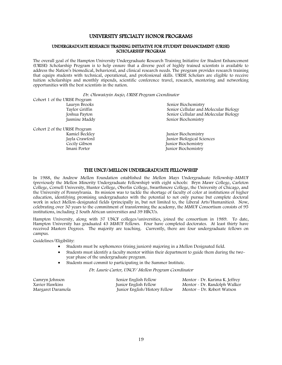### UNIVERSITY SPECIALTY HONOR PROGRAMS

#### UNDERGRADUATE RESEARCH TRAINING INITIATIVE FOR STUDENT ENHANCEMENT (URISE) SCHOLARSHIP PROGRAM

The overall goal of the Hampton University Undergraduate Research Training Initiative for Student Enhancement (URISE) Scholarship Program is to help ensure that a diverse pool of highly trained scientists is available to address the Nation's biomedical, behavioral, and clinical research needs. The program provides research training that equips students with technical, operational, and professional skills. URISE Scholars are eligible to receive tuition scholarships and monthly stipends, scientific conference travel, research, mentoring and networking opportunities with the best scientists in the nation.

#### Dr. Oluwatoyin Asojo, URISE Program Coordinator

| <u> En chamalojni nogo, enna i i exigini cocimianoi</u> |                                       |
|---------------------------------------------------------|---------------------------------------|
| Cohort 1 of the URISE Program                           |                                       |
| Lauryn Brooks                                           | Senior Biochemistry                   |
| Taylor Griffin                                          | Senior Cellular and Molecular Biology |
| Joshua Payton                                           | Senior Cellular and Molecular Biology |
| Jasmine Maddy                                           | Senior Biochemistry                   |
| Cohort 2 of the URISE Program                           |                                       |
| Kamiel Beckley                                          | Junior Biochemistry                   |
| Jayla Crawford                                          | Junior Biological Sciences            |
| Cecily Gibson                                           | Junior Biochemistry                   |
| Imani Porter                                            | Junior Biochemistry                   |
|                                                         |                                       |

### THE UNCF/MELLON UNDERGRADUATE FELLOWSHIP

In 1988, the Andrew Mellon Foundation established the Mellon Mays Undergraduate Fellowship-MMUF (previously the Mellon Minority Undergraduate Fellowship) with eight schools: Bryn Mawr College, Carleton College, Cornell University, Hunter College, Oberlin College, Swarthmore College, the University of Chicago, and the University of Pennsylvania. Its mission was to tackle the shortage of faculty of color at institutions of higher education, identifying promising undergraduates with the potential to not only pursue but complete doctoral work in select Mellon-designated fields (principally in, but not limited to, the Liberal Arts/Humanities). Now, celebrating over 30 years to the commitment of transforming the academy, the MMUF Consortium consists of 95 institutions, including 2 South African universities and 39 HBCUs.

Hampton University, along with 37 UNCF colleges/universities, joined the consortium in 1989. To date, Hampton University has graduated 43 MMUF Fellows. Four have completed doctorates. At least thirty have received Masters Degrees. The majority are teaching. Currently, there are four undergraduate fellows on campus.

Guidelines/Eligibility:

- Students must be sophomores (rising juniors) majoring in a Mellon Designated field.
- Students must identify a faculty mentor within their department to guide them during the twoyear phase of the undergraduate program.
- Students must commit to participating in the Summer Institute.

Dr. Laurie Carter, UNCF/ Mellon Program Coordinator

| Camryn Johnson    | Senior English Fellow         | Mentor - Dr. Karima K. Jeffrey |
|-------------------|-------------------------------|--------------------------------|
| Xavier Hawkins    | Junior English Fellow         | Mentor - Dr. Randolph Walker   |
| Margaret Daramola | Junior English/History Fellow | Mentor – Dr. Robert Watson     |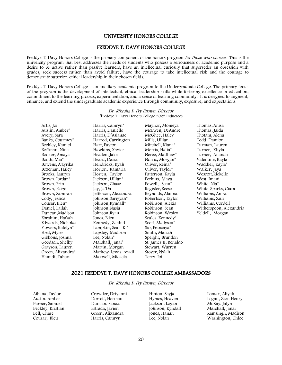### UNIVERSITY HONORS COLLEGE

#### FREDDYE T. DAVY HONORS COLLEGE

Freddye T. Davy Honors College is the primary component of the honors program for those who choose. This is the university program that best addresses the needs of students who possess a seriousness of academic purpose and a desire to be active rather than passive learners, have an intellectual curiosity that supersedes an obsession with grades, seek success rather than avoid failure, have the courage to take intellectual risk and the courage to demonstrate superior, ethical leadership in their chosen fields.

Freddye T. Davy Honors College is an ancillary academic program to the Undergraduate College. The primary focus of the program is the development of intellectual, ethical leadership skills while fostering excellence in education, commitment to the learning process, experimentation, and a sense of learning community. It is designed to augment, enhance, and extend the undergraduate academic experience through community, exposure, and expectations.

> Dr. Rikesha L. Fry Brown, Director \*Freddye T. Davy Honors College 2022 Inductees

Artis, Joi Austin, Amber\* Avery, Sara Banks, Courtney\* Beckley, Kamiel Boffman, Nina Booker, Amaya Booth, Mia\* Bowens, A'Lyrika Bozeman, Haley Brooks, Lauryn Brown, Jordan\* Brown, Erin Brown, Paige Brown, Samirah Cody, Jessica Cousar, Bleu\* Daniel, Lailah Duncan,Madison Ebrahim, Hafsah Edwards, Nicholas Flowers, Katelyn\* Ford, Myles Gibbons, Joshua Goodson, Shelby Grayson, Lauren Green, Alixandra\* Hamidi, Tahera

Harris, Camryn\* Harris, Danielle Harris, D'Asianae Harrod, Carrington Hart, Payton Hawkins, Xavier Headen, Jake Heard, Dasia Hendricks, Kyah Horton, Kamaria Hosten, Taylor Jackson, Lillian\* Jackson, Chase Jay, Ja'Da Jefferson, Alexandra Johnson,Sariyyah\* Johnson,Kyndall\* Johnson,Nasia Johnson,Ryan Jones, Eden Kennedy, Zaahid Lampkin, Sean-Ki\* Lapsley, Madison Lee, Nolan\* Marshall, Janai\* Martin, Morgan Mathew-Lewis, Azadi Maxwell, Micaela

Maynor, Monieya McEwen, DeAndre McGhee, Haley Mills, Lillian Mitchell, Kiana\* Morris, Halia\* Neree, Matthew\* Norris, Morgan\* Oliver, Reina\* Oliver, Taylor\* Patterson, Kayla Perkins, Maya Powell, Sean\* Register,Reese Reynolds, Alanna Robertson, Taylor Robinson, Alexis Robinson, Sean Robinson, Wesley Scales, Kennedy\* Scott, Madysen\* Sio, Fransaya\* Smith, Mariah Speight, Brandon St. James II, Renaldo Stewart, Warren Stover, Nylah Terry, Joi

Thomas, Anisa Thomas, Jaida Thotam, Alena Todd, Damion Turman, Lauren Turner, Khyla Turner, Ananda Valentine, Kayla Waddler, Kayla\* Walker, Jaya Wescott,Rickelle West, Imani White, Nia\* White-Sparks, Ciara Williams, Anisa Williams, Zuri Williams, Cordell Witherspoon, Alexandria Yeldell, Morgan

#### 2021 FREDDYE T. DAVY HONORS COLLEGE AMBASSADORS

Dr. Rikesha L. Fry Brown, Director

Aibana, Taylor Austin, Amber Barber, Samuel Beckley, Kristian Bell, Chase Cousar, Bleu

Crowder, Driyanni Dorsett, Herman Duncan, Sanaa Estrada, Javien Green, Alixandra Harris, Camryn

Hinton, Sayja Hymes, Heaven Jackson, Logan Johnson, Kyndall Jones, Hanan Lee, Nolan

Lomax, Aliyah Logan, Zion Henry McKay, Jalyn Marshall, Janai Ramsingh, Madison Washington, Chloe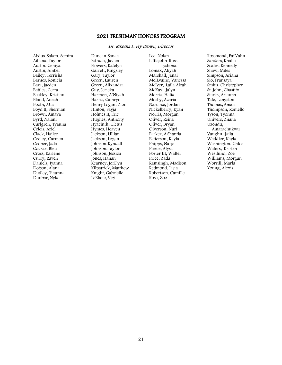### 2021 FRESHMAN HONORS PROGRAM

Dr. Rikesha L. Fry Brown, Director

Abdus-Salam, Semira Aibana, Taylor Austin, Ceniya Austin, Amber Bailey, Terrisha Barnes, Ronicia Barr, Jaeden Battles, Cerra Beckley, Kristian Bland, Aneah Booth, Mia Boyd II, Sherman Brown, Amaya Byrd, Nalani Carlgren, Tyauna Celcis, Ariel Clack, Hailee Cooley, Carmen Cooper, Jada Cousar, Bleu Cross, Karlene Curry, Raven Daniels, Iyanna Dotson, Alana Dudley, Tiaunna Dunbar, Nyla

Duncan,Sanaa Estrada, Javien Flowers, Katelyn Garrett, Kingsley Gary, Taylor Green, Lauren Green, Alixandra Guy, Jericka Harmon, A'Niyah Harris, Camryn Henry Logan, Zion Hinton, Sayja Holmes II, Eric Hughes, Anthony Hyacinth, Cletus Hymes, Heaven Jackson, Lillian Jackson, Logan Johnson,Kyndall Johnson,Taylor Johnson, Jessica Jones, Hanan Kearney, JorDyn Kilpatrick, Matthew Knight, Gabrielle LeBlanc, Vigi

Lee, Nolan Littlejohn-Russ, Tyshona Lomax, Aliyah Marshall, Janai McILvaine, Vanessa McIver, Laila Aleah McKay, Jalyn Morris, Halia Mosby, Azaria Narcisse, Jordan Nickelberry, Kyan Norris, Morgan Oliver, Reina Oliver, Bryan Olverson, Nuri Parker, A'Shantia Patterson, Kayla Phipps, Narje Pierce, Alysa Porter III, Walter Price, Zada Ramsingh, Madison Redmond, Jasia Robertson, Camille Rose, Zoe

Rosemond, Pai'Vahn Sanders, Khalia Scales, Kennedy Shaw, Miles Simpson, Ariana Sio, Fransaya Smith, Christopher St. John, Chastity Starks, Arianna Tate, Langston Thomas, Amari Thompson, Romello Tyson, Tyonna Univers, Zhana Uzondu, Amarachukwu Vaughn, Jaila Waddler, Kayla Washington, Chloe Waters, Kristen Westlund, Zoë Williams, Morgan Worrill, Marla Young, Alexis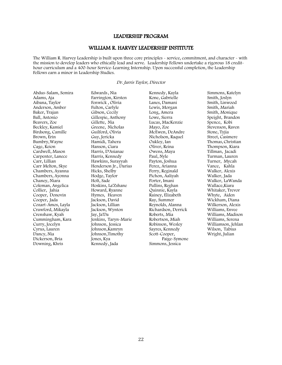### LEADERSHIP PROGRAM

### WILLIAM R. HARVEY LEADERSHIP INSTITUTE

The William R. Harvey Leadership is built upon three core principles - service, commitment, and character - with the mission to develop leaders who ethically lead and serve. Leadership Fellows undertake a rigorous 18 credithour curriculum and a 400-hour Service-Learning Internship. Upon successful completion, the Leadership Fellows earn a minor in Leadership Studies.

#### Dr. Jarris Taylor, Director

Abdus-Salam, Semira Adams, Aja Aibana, Taylor Anderson, Amber Baker, Trajan Ball, Antonio Beavers, Zoe Beckley, Kamiel Birdsong, Camille Brown, Erin Bumbry,Wayne Cage, Keion Cardwell, Mason Carpenter, Lanece Carr, Lillian Carr Melton, Skye Chambers, Ayanna Chambers, Ayonna Chaney, Niara Coleman, Angelica Collier, Jahia Cooper, Donovin Cooper, Jada Cozart-Amos, Layla Crawford, Mikayla Crenshaw, Kyah Cummingham, Kara Curry, Jocelyn Cyrus, Lauren Dancy, Nia Dickerson, Bria Downing, Khris

Edwards, Nia Farrington, Kirsten Fenwick , Olivia Fulton, Carlyle Gibson, Cecily Gillespie, Anthony Gillette, Nia Greene, Nicholas Guilford, Olivia Guy, Jericka Hamidi, Tahera Hanson, Ciara Harris, D'Asianae Harris, Kennedy Hawkins, Surayyah Henderson Jr., Darius Hicks, Shelby Hodge, Taylor Holt, Sade Hoskins, La'Zshane Howard, Ryanne Hymes, Heaven Jackson, David Jackson, Lillian Jackson, Wynton Jay, Ja'Da Jenkins, Taryn-Marie Johnson, Jessica Johnson,Kamryn Johnson,Timothy Jones, Kya Kennedy, Jada

Kennedy, Kayla Kone, Gabrielle Lanes, Damani Lewis, Morgan Long, Amera Lowe, Sierra Lucas, MacKenzie Mayo, Zoe McEwen, DeAndre Nicholson, Raquel Oakley, Ian Oliver, Reina Owens, Maya Paul, Nyle Payton, Joshua Perez, Arianna Perry, Reginald Pichon, Aaliyah Porter, Imani Pullins, Reghan Quinnie, Kayla Rainey, Elizabeth Ray, Summer Reynolds, Alanna Richardson, Derrick Roberts, Mia Robertson, Miah Robinson, Wesley Sayres, Kennedy Scott-Cooper, Paige-Symone Simmons, Jessica

Simmons, Katelyn Smith, Joslyn Smith, Linwood Smith, Mariah Smith, Monique Speight, Brandon Spence, Kobi Stevenson, Raven Stone, Tyjia Street, Casimere Thomas, Christian Thompson, Kiara Tillman, Jacadi Turman, Lauren Turner, Mycah Vance, Kahla Walker, Alexis Walker, Jada Walker, LaWanda Wallace,Kiara Whitaker, Trevor Whyte, Aiden Wickham, Diana Wilkerson, Alexis Williams, Envee Williams, Madison Williams, Serena Williamson, Jehlan Wilson, Tabius Wright, Julian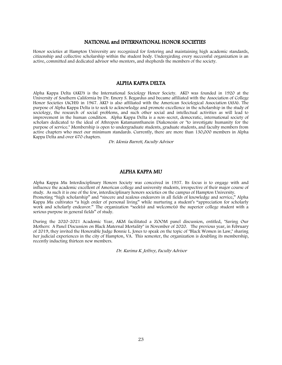### NATIONAL and INTERNATIONAL HONOR SOCIETIES

Honor societies at Hampton University are recognized for fostering and maintaining high academic standards, citizenship and collective scholarship within the student body. Undergirding every successful organization is an active, committed and dedicated advisor who mentors, and shepherds the members of the society.

### ALPHA KAPPA DELTA

Alpha Kappa Delta (AKD) is the International Sociology Honor Society. AKD was founded in 1920 at the University of Southern California by Dr. Emory S. Bogardus and became affiliated with the [Association of College](http://www.achsnatl.org/)  [Honor Societies](http://www.achsnatl.org/) (ACHS) in 1967. AKD is also affiliated with the [American Sociological Association](http://www.asanet.org/) (ASA). The purpose of Alpha Kappa Delta is to seek to acknowledge and promote excellence in the scholarship in the study of sociology, the research of social problems, and such other social and intellectual activities as will lead to improvement in the human condition. Alpha Kappa Delta is a non-secret, democratic, international society of scholars dedicated to the ideal of Athropon Katamannthanein Diakonesin or "to investigate humanity for the purpose of service." Membership is open to undergraduate students, graduate students, and faculty members from active chapters who meet our [minimum standards.](http://alphakappadelta.org/Eligibility.html) Currently, there are more than 130,000 members in Alpha Kappa Delta and over 670 chapters.

Dr. Idonia Barrett, Faculty Advisor

### ALPHA KAPPA MU

Alpha Kappa Mu Interdisciplinary Honors Society was conceived in 1937. Its focus is to engage with and influence the academic excellent of American college and university students, irrespective of their major course of study. As such it is one of the few, interdisciplinary honors societies on the campus of Hampton University. Promoting "high scholarship" and "sincere and zealous endeavors in all fields of knowledge and service," Alpha Kappa Mu cultivates "a high order of personal living" while nurturing a student's "appreciation for scholarly work and scholarly endeavor." The organization "seek(s) and welcome(s) the superior college student with a serious purpose in general fields" of study.

During the 2020-2021 Academic Year, AKM facilitated a ZOOM panel discussion, entitled, "Saving Our Mothers: A Panel Discussion on Black Maternal Mortality" in November of 2020. The previous year, in February of 2019, they invited the Honorable Judge Bonnie L. Jones to speak on the topic of "Black Women in Law," sharing her judicial experiences in the city of Hampton, VA. This semester, the organization is doubling its membership, recently inducting thirteen new members.

Dr. Karima K. Jeffrey, Faculty Advisor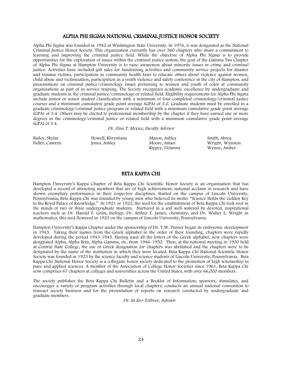### ALPHA PHI SIGMA NATIONAL CRIMINAL JUSTICE HONOR SOCIETY

Alpha Phi Sigma was founded in 1942 at Washington State University. In 1976, it was designated as the National Criminal Justice Honor Society. This organization currently has over 360 chapters who share a commitment to learning and improving the criminal justice field. While the objective of Alpha Phi Sigma is to provide opportunities for the exploration of issues within the criminal justice system, the goal of the Gamma Tau Chapter of Alpha Phi Sigma at Hampton University is to raise awareness about minority issues in crime and criminal justice. Activities have included gift sales for fundraising activities and community service projects for disaster and trauma victims, participation in community health fairs to educate others about violence against women, child abuse and victimization, participation in a youth violence and safety conference in the city of Hampton, and presentations on criminal justice/criminology issues pertaining to women and youth of color at community organizations as part of in-service training. The Society recognizes academic excellence by undergraduate and graduate students in the criminal justice/criminology or related field. Eligibility requirements for Alpha Phi Sigma include junior or senior student classification with a minimum of four completed criminology/criminal justice courses and a minimum cumulative grade point average (GPA) of 3.2. Graduate students must be enrolled in a graduate criminology/criminal justice program or related field with a minimum cumulative grade point average (GPA) of 3.4. Others may be elected to professional membership by the chapter if they have earned one or more degrees in the criminology/criminal justice or related field with a minimum cumulative grade point average (GPA) of 3.4.

#### Dr. Zina T. McGee, Faculty Advisor

Bailey, Skylar Fuller, Camryn

Howell, Khrystiana Jones, Ashley

Mason, Ashley Moore, Amari Rippey, Delanna

Smith, Abrea Wright, Wynston Wynne, Amber

### BETA KAPPA CHI

Hampton University's Kappa Chapter of Beta Kappa Chi Scientific Honor Society is an organization that has developed a record of attracting members that are of high achievement, national acclaim in research and have shown exemplary performance in their respective disciplines. Started on the campus of Lincoln University, Pennsylvania, Beta Kappa Chi was founded by young men who believed its motto: "Science Holds the Golden Key to the Royal Palace of Knowledge." In 1921 or 1922, the seed for the establishment of Beta Kappa Chi took root in the minds of two or three undergraduate students. Nurtured in a soil well-watered by devoted, inspirational teachers such as Dr. Harold F. Grim, biology; Dr. Arthur E. James, chemistry; and Dr. Walter L. Wright in mathematics, this seed flowered in 1923 on the campus of Lincoln University, Pennsylvania.

Hampton University's Kappa Chapter under the sponsorship of Dr. T.W. Turner began its embryonic development in 1943. Taking their names from the Greek alphabet in the order of their founding, chapters were rapidly developed during the period 1943-1945. Having used all the letters of the Greek alphabet, new chapters were designated Alpha, Alpha Beta, Alpha Gamma, etc. from 1946-1950. Then, at the national meeting in 1950 held at Central State College, the use of Greek designation for chapters was abolished and the chapters were to be designated by the name of the institution in which they were located. Beta Kappa Chi National Scientific Honor Society was founded in 1923 by the science faculty and science students of Lincoln University, Pennsylvania. Beta Kappa Chi National Honor Society is a collegiate honor society dedicated to the promotion of high scholarship in pure and applied sciences. A member of the Association of College Honor Societies since 1961, Beta Kappa Chi now comprises 67 chapters at colleges and universities across the United States, with over 66,000 members.

The society publishes the Beta Kappa Chi Bulletin and a Booklet of Information; sponsors, stimulates, and encourages a variety of program activities through local chapters; conducts an annual national convention to transact society business and for the presentation of reports on research conducted by undergraduate and graduate members.

Dr. Isi Ero-Tolliver, Advisor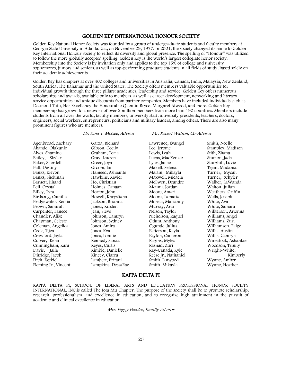### GOLDEN KEY INTERNATIONAL HONOUR SOCIETY

Golden Key National Honor Society was founded by a group of undergraduate students and faculty members at Georgia State University in Atlanta, Ga., on November 29, 1977. In 2001, the society changed its name to Golden Key International Honour Society to reflect its diversity and global presence. The spelling of "Honour" was utilized to follow the more globally accepted spelling. Golden Key is the world's largest collegiate honor society. Membership into the Society is by invitation only and applies to the top 15% of college and university sophomores, juniors and seniors, as well as top-performing graduate students in all fields of study, based solely on their academic achievements.

Golden Key has chapters at over 400 colleges and universities in Australia, Canada, India, Malaysia, New Zealand, South Africa, The Bahamas and the United States. The Society offers members valuable opportunities for individual growth through the three pillars: academics, leadership and service. Golden Key offers numerous scholarships and awards, available only to members, as well as career development, networking and literacy service opportunities and unique discounts from partner companies. Members have included individuals such as Desmond Tutu, Her Excellency the Honourable Quentin Bryce, Margaret Atwood, and more. Golden Key membership has grown to a network of over 2 million members from more than 190 countries. Members include students from all over the world, faculty members, university staff, university presidents, teachers, doctors, engineers, social workers, entrepreneurs, politicians and military leaders, among others. There are also many prominent figures who are members.

#### Dr. Zina T. McGee, Advisor Mr. Robert Watson, Co-Advisor

Agenbroad, Zachary Akande, Olakunle Alves, Shamine Bailey, Skylar Baker, Sherdell Ball, Destiny Banks, Kievon Banks, Shekinah Barnett, Jihaad Bell, Crystal Billey, Tyra Birdsong, Camille Bridgewater, Kemia Brown, Samirah Carpenter, Lanece Chandler, Alike Chapman, Celeste Coleman, Angelica Cook, Tijea Crawford, Jayla Culver, Kena Cunningham, Kara Davis, Jaila Ethridge, Jacob Fitch, Ezekiel Fleming Jr., Vincent

Garza, Richard Gibson, Cecily Graham, Toria Gray, Lauren Greer, Joya Groom, Ian Hameed, Ashaante Hawkins, Xavier Ho, Christian Holmes, Canaan Horton, John Howell, Khrystiana Jackson, Brianna James, Kirsten Jean, Steve Johnson, Camryn Johnson, Sydney Jones, Amira Jones, Kya Jones, Lonnie Kennedy,Sanaa Keyes, Curtis Kimble, Danielle Kincey, Ciarra Lambert, Britani Lampkins, DessaRae

Lawrence, Evangel Lee, Jerome Lewis, Leah Lucas, MacKenzie Lyles, Janae Makell, Selena Martin, Mikayla Maxwell, Micaela McEwen, Deandre Mcunu, Jordan Moore, Amari Moore, Tamaria Moreta, Marianny Murray, Aria Nelson, Taylor Nicholson, Raquel Odum, Anthony Ogunde, Julius Patterson, Kayla Payton, Cameron Ragins, Myles Rashad, Zuri Ray-Canada, Kyle Reese Jr., Nathaniel Smith, Linwood Smith, Mikayla

Smith, Noelle Stampley, Madison Stith, Zhana Stumon, Jada Sturghill, Luvie Tejan, Madania Turner, Mycah Turner, Schyler Walker, LaWanda Walton, Julian Weathers, Griffin Wells, Joseph White, Ava White, Samara Wilkerson, Arionna Williams, Angel Williams, Zuri Williamson, Paige Willis, Austin Willis, Camryn Winestock, Ashantae Woodson, Trinity Wright-White, Kimberly Wynne, Amber Wynne, Heather

### KAPPA DELTA PI

KAPPA DELTA PI, SCHOOL OF LIBERAL ARTS AND EDUCATION PROFESSIONAL HONOR SOCIETY INTERNATIONAL, INC.is called The Iota Mu Chapter. The purpose of the society shall be to promote scholarship, research, professionalism, and excellence in education, and to recognize high attainment in the pursuit of academic and clinical excellence in education.

Mrs. Peggy Peebles, Faculty Advisor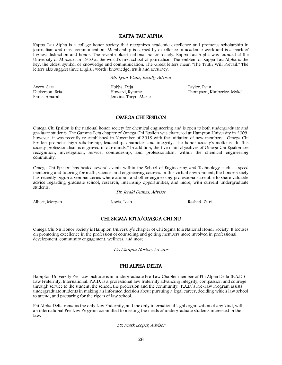### KAPPA TAU ALPHA

Kappa Tau Alpha is a college honor society that recognizes academic excellence and promotes scholarship in journalism and mass communication. Membership is earned by excellence in academic work and is a mark of highest distinction and honor. The seventh oldest national honor society, Kappa Tau Alpha was founded at the University of Missouri in 1910 at the world's first school of journalism. The emblem of Kappa Tau Alpha is the key, the oldest symbol of knowledge and communication. The Greek letters mean "The Truth Will Prevail." The letters also suggest three English words: knowledge, truth and accuracy.

Ms. Lynn Waltz, Faculty Advisor

Avery, Sara Dickerson, Bria Ennis, Amarah

Hobbs, Deja Howard, Ryanne Jenkins, Taryn-Marie

Taylor, Evan Thompson, Kimberlee-Mykel

### OMEGA CHI EPSILON

Omega Chi Epsilon is the national honor society for chemical engineering and is open to both undergraduate and graduate students. The Gamma Beta chapter of Omega Chi Epsilon was chartered at Hampton University in 2009, however, it was recently re-established in November of 2018 with the initiation of new members. Omega Chi Epsilon promotes high scholarship, leadership, character, and integrity. The honor society's motto is "In this society professionalism is engraved in our minds." In addition, the five main objectives of Omega Chi Epsilon are recognition, investigation, service, comradeship, and professionalism within the chemical engineering community.

Omega Chi Epsilon has hosted several events within the School of Engineering and Technology such as speed mentoring and tutoring for math, science, and engineering courses. In this virtual environment, the honor society has recently begun a seminar series where alumni and other engineering professionals are able to share valuable advice regarding graduate school, research, internship opportunities, and more, with current undergraduate students.

Dr. Jerald Dumas, Advisor

Albert, Morgan Lewis, Leah Rashad, Zuri

### CHI SIGMA IOTA/OMEGA CHI NU

Omega Chi Nu Honor Society is Hampton University's chapter of Chi Sigma Iota National Honor Society. It focuses on promoting excellence in the profession of counseling and getting members more involved in professional development, community engagement, wellness, and more.

Dr. Marquis Norton, Advisor

### PHI ALPHA DELTA

Hampton University Pre-Law Institute is an undergraduate Pre-Law Chapter member of Phi Alpha Delta (P.A.D.) Law Fraternity, International. P.A.D. is a professional law fraternity advancing integrity, compassion and courage through service to the student, the school, the profession and the community. P.A.D.'s Pre-Law Program assists undergraduate students in making an informed decision about pursuing a legal career, deciding which law school to attend, and preparing for the rigors of law school.

Phi Alpha Delta remains the only Law Fraternity, and the only international legal organization of any kind, with an international Pre-Law Program committed to meeting the needs of undergraduate students interested in the law.

Dr. Mark Leeper, Advisor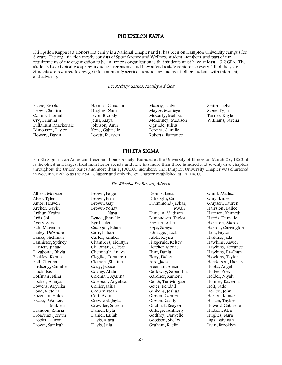### PHI EPSILON KAPPA

Phi Epsilon Kappa is a Honors Fraternity is a National Chapter and It has been on Hampton University campus for 3 years. The organization mostly consists of Sport Science and Wellness student members, and part of the requirements of the organization to be an honor's organization is that students must have at least a 3.2 GPA. The students have typically a spring induction ceremony, and they attend a state conference every fall of the year. Students are required to engage into community service, fundraising and assist other students with internships and advising.

Dr. Rodney Gaines, Faculty Advisor

Beebe, Brooke Brown, Samirah Collins, Hannah Cry, Brianna Dillahunt, Mackenzie Edmonson, Taylor Flowers, Davin

Holmes, Canaaan Hughes, Nara Irvin, Brooklyn Jeusi, Kiaya Johnson, Amir Kone, Gabrielle Lovett, Kiersten

Massey, Jaelyn Mayor, Monieya McCarty, Mellisa McKinney, Madison Ogunde, Julius Pereira, Camille Roberts, Barrance

Smith, Jaelyn Stone, Tyjia Turner, Khyla Williams, Sarena

### PHI ETA SIGMA

Phi Eta Sigma is an American freshman honor society. Founded at the University of Illinois on March 22, 1923, it is the oldest and largest freshman honor society and now has more than three hundred and seventy-five chapters throughout the United States and more than 1,100,000 members. The Hampton University Chapter was chartered in November 2018 as the 384th chapter and only the 2nd chapter established at an HBCU.

#### Dr. Rikesha Fry Brown, Advisor

| Albert, Morgan    | Brown, Paige       | Dennis, Lena       | Grant, Madison     |
|-------------------|--------------------|--------------------|--------------------|
| Alves, Tyler      | Brown, Erin        | Dilikoglu, Can     | Gray, Lauren       |
| Amos, Heaven      | Brown, Gay         | Drummond-Jabbar,   | Grayson, Lauren    |
| Archer, Gavin     | Brown-Yohay,       | Myah               | Hairston, Bailee   |
|                   |                    |                    |                    |
| Arthur, Keaira    | Naya               | Duncan, Madison    | Harmon, Kennedi    |
| Artis, Joi        | Bynoe, Jhanelle    | Edmondson, Taylor  | Harris, Danielle   |
| Avery, Sara       | Byrd, Jalen        | English, Asha      | Harrison, Marek    |
| Bah, Mariama      | Cadogan, Ethan     | Epps, Samya        | Harrod, Carrington |
| Bailey, De'Andra  | Carr, Lillian      | Ethridge, Jacob    | Hart, Payton       |
| Banks, Shekinah   | Carter, Kimber     | Fable, Keyira      | Haskins, Jada      |
| Bannister, Sydney | Chambers, Kierstyn | Fitzgerald, Kelsey | Hawkins, Xavier    |
| Barnett, Jihaad   | Chapman, Celeste   | Fletcher, Monae    | Hawkins, Terrance  |
| Bayabona, Olivia  | Chennault, Anaya   | Flint, Dania       | Hawkins, Pa-Shun   |
| Beckley, Kamiel   | Ciaglia, Tommaso   | Flory, Dalton      | Hawkins, Taylor    |
| Bell, Chynna      | Clemons, Shatina   | Ford, Jade         | Henderson, Darius  |
| Birdsong, Camille | Cody, Jessica      | Freeman, Alexa     | Hobbs, Angel       |
| Black, Isis       | Cokley, Abdul      | Galloway, Samantha | Hodge, Zoey        |
| Boffman, Nina     | Coleman, Ayanna    | Gardner, Kamoni    | Holder, Niyah      |
| Booker, Amaya     | Coleman, Angelica  | Garth, Tia-Morgan  | Holmes, Ravenna    |
| Bowens, A'Lyrika  | Collier, Jahia     | Geter, Kendall     | Holt, Sade         |
| Boyd, Victoria    | Cooper, Noah       | Gibbons, Joshua    | Horton, John       |
| Bozeman, Haley    | Cort, Avani        | Gibson, Camryn     | Horton, Kamaria    |
| Bracey-Walker,    | Crawford, Jayla    | Gibson, Cecily     | Hosten, Taylor     |
| Makiela           | Crowder, Soteria   | Gilchrist, Reagen  | Howard, Gabrielle  |
| Brandon, Zahria   | Daniel, Jayla      | Gillespie, Anthony | Hudson, Alea       |
| Broadnax, Jordyn  | Daniel, Lailah     | Godfrey, Danyelle  | Hughes, Nara       |
| Brooks, Lauryn    | Davis, Kiara       | Goodson, Shelby    | Ings, Baiyinah     |
| Brown, Samirah    | Davis, Jaila       | Graham, Kaelin     | Irvin, Brooklyn    |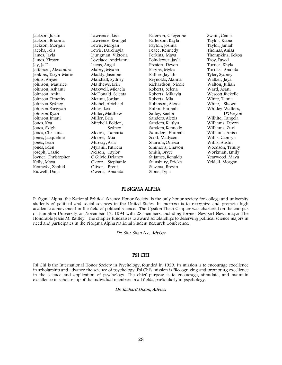Jackson, Justin Jackson, Brianna Jackson, Morgan Jacobs, Felts James, Jayla James, Kirsten Jay, Ja'Da Jefferson, Alexandra Jenkins, Taryn-Marie Johns, Anyae Johnson, Maurice Johnson, Ashanti Johnson, Anita Johnson,Timothy Johnson,Sydney Johnson,Sariyyah Johnson,Ryan Johnson,Imani Jones, Kya Jones, Skigh Jones, Christina Jones, Jacqueline Jones, Leah Jones, Eden Joseph, Cassie Joyner, Christopher Kelly, Maya Kennedy, Zaahid Kidwell, Daija

Lawrence, Lisa Lawrence, Evangel Lewis, Morgan Lewis, Darchayla Ljungman, Viktoria Lovelace, Andrianna Lucas, Angel Mabry, Myana Maddy, Jasmine Marshall, Sydney Matthews, Erin Maxwell, Micaela McDonald, Seleata Mcunu, Jordan Michel, Abichael Miles, Lea Miller, Matthew Miller, Bria Mitchell-Bolden, Sydney Moore, Tamaria Moore, Mia Murray, Aria Myrthil, Patricia Nelson, Taylor O'Gilvie,Delaney Okoro, Stephanie Oliver, Brent Owens, Amanda

Paterson, Cheyenne Patterson, Kayla Payton, Joshua Peace, Kennedy Perkins, Maya Poindexter, Jayla Preston, Devon Ragins, Myles Rather, Jaylah Reynolds, Alanna Richardson, Nicole Roberts, Selena Roberts, Mikayla Roberts, Mia Robinson, Alexis Rubin, Hannah Salley, Kaelin Sanders, Alexis Sanders, Kaitlyn Sanders, Kennedy Saunders, Hannah Scott, Madysen Sharufa, Onessa Simmons, Chavon Smith, Bryce St James, Renaldo Stansbury, Ericka Stevens, Brevin Stone, Tyjia

Swain, Ciana Taylor, Kiana Taylor, Janiah Thomas, Anisa Thompkins, Kekoa Troy, Fayed Turner, Khyla Turner, Ananda Tyler, Sydney Walker, Jaya Walton, Julian Ward, Asani Wescott,Rickelle White, Tamia White, Shawn Whitley-Walters, D'Oveyon Wilhite, Tangela Williams, Devon Williams, Zuri Williams, Anisa Willis, Camryn Willis, Austin Woodson, Trinity Workman, Emily Yearwood, Maya Yeldell, Morgan

### PI SIGMA ALPHA

Pi Sigma Alpha, the National Political Science Honor Society, is the only honor society for college and university students of political and social sciences in the United States. Its purpose is to recognize and promote high academic achievement in the field of political science. The Upsilon Theta Chapter was chartered on the campus of Hampton University on November 17, 1994 with 28 members, including former Newport News mayor The Honorable Jessie M. Rattley. The chapter fundraises to award scholarships to deserving political science majors in need and participates in the Pi Sigma Alpha National Student Research Conference.

Dr. Shu-Shan Lee, Advisor

### PSI CHI

Psi Chi is the International Honor Society in Psychology, founded in 1929. Its mission is to encourage excellence in scholarship and advance the science of psychology. Psi Chi's mission is "Recognizing and promoting excellence in the science and application of psychology. The chief purpose is to encourage, stimulate, and maintain excellence in scholarship of the individual members in all fields, particularly in psychology.

Dr. Richard Dixon, Advisor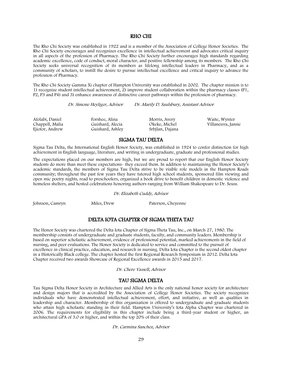### RHO CHI

The Rho Chi Society was established in 1922 and is a member of the Association of College Honor Societies. The Rho Chi Society encourages and recognizes excellence in intellectual achievement and advocates critical inquiry in all aspects of the profession of Pharmacy. The Rho Chi Society further encourages high standards regarding academic excellence, code of conduct, moral character, and positive fellowship among its members. The Rho Chi Society seeks universal recognition of its members as lifelong intellectual leaders in Pharmacy, and as a community of scholars, to instill the desire to pursue intellectual excellence and critical inquiry to advance the profession of Pharmacy.

The Rho Chi Society Gamma Xi chapter of Hampton University was established in 2002. The chapter mission is to 1) recognize student intellectual achievement, 2) improve student collaboration within the pharmacy classes (P1, P2, P3 and P4) and 3) enhance awareness of distinctive career pathways within the profession of pharmacy.

Dr. Simone Heyliger, Advisor Dr. Marily D. Saulsbury, Assistant Advisor

Afolabi, Daniel Chappell, Malia Ejiofor, Andrew

Forshee, Alina Guishard, Alecia Guishard, Ashley

Morris, Avery Okeke, Michel Srbjlan, Dajana

Waite, Wynter Villaneuva, Jansie

## SIGMA TAU DELTA

Sigma Tau Delta, the International English Honor Society, was established in 1924 to confer distinction for high achievement in English language, literature, and writing in undergraduate, graduate and professional studies.

The expectations placed on our members are high, but we are proud to report that our English Honor Society students do more than meet these expectations- they exceed them. In addition to maintaining the Honor Society's academic standards, the members of Sigma Tau Delta strive to be visible role models in the Hampton Roads community; throughout the past few years they have tutored high school students, sponsored film viewing and open mic poetry nights, read to preschoolers, organized a book drive to benefit children in domestic violence and homeless shelters, and hosted celebrations honoring authors ranging from William Shakespeare to Dr. Seuss.

Dr. Elizabeth Cuddy, Advisor

Johnson, Camryn Miles, Drew Paterson, Cheyenne

### DELTA IOTA CHAPTER OF SIGMA THETA TAU

The Honor Society was chartered the Delta Iota Chapter of Sigma Theta Tau, Inc., on March 27, 1980. The membership consists of undergraduate and graduate students, faculty, and community leaders. Membership is based on superior scholastic achievement, evidence of professional potential, marked achievements in the field of nursing, and peer evaluations. The Honor Society is dedicated to service and committed to the pursuit of excellence in clinical practice, education, and research in nursing. Delta Iota Chapter is the second oldest chapter in a Historically Black college. The chapter hosted the first Regional Research Symposium in 2012. Delta Iota Chapter received two awards Showcase of Regional Excellence awards in 2015 and 2017.

Dr. Chere Vassell, Advisor

### TAU SIGMA DELTA

Tau Sigma Delta Honor Society in Architecture and Allied Arts is the only national honor society for architecture and design majors that is accredited by the Association of College Honor Societies. The society recognizes individuals who have demonstrated intellectual achievement, effort, and initiative, as well as qualities in leadership and character. Membership of this organization is offered to undergraduate and graduate students who attain high scholastic standing in their field. Hampton University's Iota Alpha Chapter was chartered in 2006. The requirements for eligibility in this chapter include being a third-year student or higher, an architectural GPA of 3.0 or higher, and within the top 20% of their class.

#### Dr. Carmina Sanchez, Advisor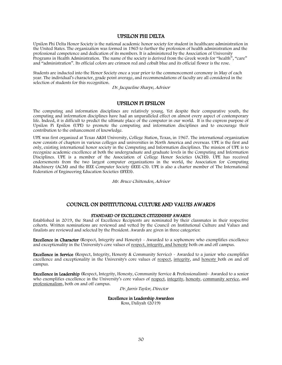#### UPSILON PHI DELTA

Upsilon Phi Delta Honor Society is the national academic honor society for student in healthcare administration in the United States. The organization was formed in 1965 to further the profession of health administration and the professional competence and dedication of its members. It is administered by the Association of University Programs in Health Administration. The name of the society is derived from the Greek words for "health", "care" and "administration". Its official colors are crimson red and cobalt blue and its official flower is the rose.

Students are inducted into the Honor Society once a year prior to the commencement ceremony in May of each year. The individual's character, grade point average, and recommendations of faculty are all considered in the selection of students for this recognition.

Dr. Jacqueline Sharpe, Advisor

### UPSILON PI EPSILON

The computing and information disciplines are relatively young. Yet despite their comparative youth, the computing and information disciplines have had an unparalleled effect on almost every aspect of contemporary life. Indeed, it is difficult to predict the ultimate place of the computer in our world. It is the express purpose of Upsilon Pi Epsilon (UPE) to promote the computing and information disciplines and to encourage their contribution to the enhancement of knowledge.

UPE was first organized at Texas A&M University, College Station, Texas, in 1967. The international organization now consists of chapters in various colleges and universities in North America and overseas. UPE is the first and only, existing international honor society in the Computing and Information disciplines. The mission of UPE is to recognize academic excellence at both the undergraduate and graduate levels in the Computing and Information Disciplines. UPE is a member of the Association of College Honor Societies (ACHS). UPE has received endorsements from the two largest computer organizations in the world, the Association for Computing Machinery (ACM) and the IEEE Computer Society (IEEE-CS). UPE is also a charter member of The International Federation of Engineering Education Societies (IFEES).

Mr. Bruce Chittenden, Advisor

### COUNCIL ON INSTITUTIONAL CULTURE AND VALUES AWARDS

#### STANDARD OF EXCELLENCE CITIZENSHIP AWARDS

Established in 2019, the Stand of Excellence Recipients are nominated by their classmates in their respective cohorts. Written nominations are reviewed and vetted by the Council on Institutional Culture and Values and finalists are reviewed and selected by the President. Awards are given in three categories:

Excellence in Character (Respect, Integrity and Honesty) - Awarded to a sophomore who exemplifies excellence and exceptionality in the University's core values of respect, integrity, and honesty both on and off campus.

Excellence in Service (Respect, Integrity, Honesty & Community Service) - Awarded to a junior who exemplifies excellence and exceptionality in the University's core values of respect, integrity, and honesty both on and off campus.

Excellence in Leadership (Respect, Integrity, Honesty, Community Service & Professionalism)- Awarded to a senior who exemplifies excellence in the University's core values of respect, integrity, honesty, community service, and professionalism, both on and off campus.

Dr. Jarris Taylor, Director

#### Excellence in Leadership Awardees

Ross, Daliyah (2019)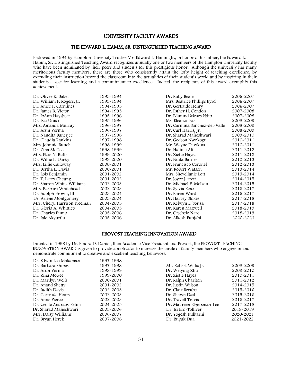### UNIVERSITY FACULTY AWARDS

#### THE EDWARD L. HAMM, SR. DISTINGUISHED TEACHING AWARD

Endowed in 1994 by Hampton University Trustee Mr. Edward L. Hamm, Jr., in honor of his father, the Edward L. Hamm, Sr. Distinguished Teaching Award recognizes annually one or two members of the Hampton University faculty who have been nominated by their peers and students for this prestigious honor. Although the university has many meritorious faculty members, there are those who consistently attain the lofty height of teaching excellence, by extending their instruction beyond the classroom into the actualities of their student's world and by inspiring in their students a zest for learning and a commitment to excellence. Indeed, the recipients of this award exemplify this achievement.

| Dr. Oliver K. Baker          | 1993-1994 | Dr. Ruby Beale                | 2006-2007 |
|------------------------------|-----------|-------------------------------|-----------|
| Dr. William F. Rogers, Jr.   | 1993-1994 | Mrs. Beatrice Phillips Byrd   | 2006-2007 |
| Dr. Amee F. Carmines         | 1994-1995 | Dr. Gertrude Henry            | 2006-2007 |
| Dr. James B. Victor          | 1994-1995 | Dr. Esther H. Condon          | 2007-2008 |
| Dr. JoAnn Haysbert           | 1995-1996 | Dr. Edmund Moses Ndip         | 2007-2008 |
| Dr. Isai Urasa               | 1995-1996 | Ms. Eleanor Earl              | 2008-2009 |
| Mrs. Amanda Murray           | 1996-1997 | Dr. Carmina Sanchez-del-Valle | 2008-2009 |
| Dr. Arun Verma               | 1996-1997 | Dr. Carl Harris, Jr.          | 2008-2009 |
| Dr. Nandita Banerjee         | 1997-1998 | Dr. Sharad Maheshwari         | 2009-2010 |
| Dr. Claudia Rankins          | 1997-1998 | Dr. Godson Nwokogu            | 2010-2011 |
| Mrs. Johnnie Bunch           | 1998-1999 | Mr. Wayne Dawkins             | 2010-2011 |
| Dr. Zina McGee               | 1998-1999 | Dr. Halima Ali                | 2011-2012 |
| Mrs. Elsie N. Butts          | 1999-2000 | Dr. Ziette Hayes              | 2011-2012 |
| Dr. Willie L. Darby          | 1999-2000 | Dr. Paula Barnes              | 2012-2013 |
| Mrs. Lillie Calloway         | 2000-2001 | Dr. Francisco Coronel         | 2012-2013 |
| Dr. Bertha L. Davis          | 2000-2001 | Mr. Robert Watson             | 2013-2014 |
| Dr. Lois Benjamin            | 2001-2002 | Mrs. Shevellanie Lott         | 2013-2014 |
| Dr. T. Larry Cheung          | 2001-2002 | Dr. Joyce Jarrett             | 2014-2015 |
| Dr. Sharon White-Williams    | 2002-2003 | Dr. Michael P. McLain         | 2014-2015 |
| Mrs. Barbara Whitehead       | 2002-2003 | Dr. Sylvia Rose               | 2016-2017 |
| Dr. Adolph Brown, III        | 2003-2004 | Dr. Karen Ward                | 2016-2017 |
| Dr. Arlene Montgomery        | 2003-2004 | Dr. Harvey Stokes             | 2017-2018 |
| Mrs. Cheryl Harrison Freeman | 2004-2005 | Dr. Kelwyn D'Souza            | 2017-2018 |
| Dr. Gloria A. Whittico       | 2004-2005 | Dr. Karen Maxwell             | 2018-2019 |
| Dr. Charles Bump             | 2005-2006 | Dr. Otsebele Nare             | 2018-2019 |
| Dr. Jale Akyurtlu            | 2005-2006 | Dr. Alkesh Punjabi            | 2020-2021 |

### PROVOST TEACHING INNOVATION AWARD

Initiated in 1998 by Dr. Elnora D. Daniel, then Academic Vice President and Provost, the PROVOST TEACHING INNOVATION AWARD is given to provide a motivator to increase the circle of faculty members who engage in and demonstrate commitment to creative and excellent teaching behaviors.

| Dr. Edwin Lee Makamson   | 1997-1998 |                           |           |
|--------------------------|-----------|---------------------------|-----------|
| Dr. Barbara Shipes       | 1997-1998 | Mr. Robert Willis Jr.     | 2008-2009 |
| Dr. Arun Verma           | 1998-1999 | Dr. Weiying Zhu           | 2009-2010 |
| Dr. Zina McGee           | 1999-2000 | Dr. Ziette Hayes          | 2010-2011 |
| Dr. Marilyn Wells        | 2000-2001 | Dr. Ralph Charlton        | 2011-2012 |
| Dr. Anand Shetty         | 2001-2002 | Dr. Justin Wilson         | 2014-2015 |
| Dr. Judith Davis         | 2002-2003 | Dr. Clair Berube          | 2015-2016 |
| Dr. Gertrude Henry       | 2002-2003 | Dr. Shawn Dash            | 2015-2016 |
| Dr. Anne Pierce          | 2002-2003 | Dr. Travell Travis        | 2016-2017 |
| Dr. Cecile Andraos-Selim | 2004-2005 | Dr. Maureen Elgersman-Lee | 2017-2018 |
| Dr. Sharad Maheshwari    | 2005-2006 | Dr. Isi Ero-Tolliver      | 2018-2019 |
| Mrs. Daisy Williams      | 2006-2007 | Dr. Yogesh Kulkarni       | 2020-2021 |
| Dr. Bryan Herek          | 2007-2008 | Dr. Rupak Dua             | 2021-2022 |
|                          |           |                           |           |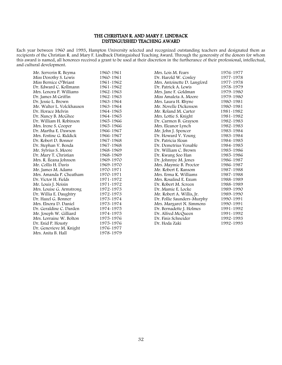### THE CHRISTIAN R. AND MARY F. LINDBACK DISTINGUISHED TEACHING AWARD

Each year between 1960 and 1993, Hampton University selected and recognized outstanding teachers and designated them as recipients of the Christian R. and Mary F. Lindback Distinguished Teaching Award. Through the generosity of the donors for whom this award is named, all honorees received a grant to be used at their discretion in the furtherance of their professional, intellectual, and cultural development.

| Mr. Serverin R. Beyma     | 1960-1961 |
|---------------------------|-----------|
| Miss Dorothy S. Lewis     | 1960~1961 |
| Miss Bernice O'Briant     | 1961-1962 |
| Dr. Edward C. Kollmann    | 1961-1962 |
| Mrs. Lenora P. Williams   | 1962-1963 |
| Dr. James M Griffin       | 1962-1963 |
| Dr. Jessie L. Brown       | 1963-1964 |
| Mr. Walter L. Volckhausen | 1963-1964 |
| Dr. Horace Melvin         | 1964-1965 |
| Dr. Nancy B. McGhee       | 1964-1965 |
| Dr. William H. Robinson   | 1965-1966 |
| Mrs. Irene S. Cooper      | 1965-1966 |
| Dr. Martha E. Dawson      | 1966-1967 |
| Mrs. Fostine G. Riddick   | 1966-1967 |
| Dr. Robert D. Bonner      | 1967-1968 |
| Dr. Stephan V. Benda      | 1967-1968 |
| Mr. Sylvius S. Moore      | 1968-1969 |
| Dr. Mary T. Christian     | 1968-1969 |
| Mrs. R. Ileana Johnson    | 1969-1970 |
| Mr. Collis H. Davis       | 1969-1970 |
| Mr. James M. Adams        | 1970-1971 |
| Mrs. Amanda P. Cheatham   | 1970-1971 |
| Dr. Victor H. Fields      | 1971-1972 |
| Mr. Louis J. Noisin       | 1971-1972 |
| Mrs. Louise G. Armstrong  | 1972-1973 |
| Dr. Willia E. Daughtry    | 1972-1973 |
| Dr. Hazel G. Bonner       | 1973-1974 |
| Mrs. Elnora D. Daniel     | 1973-1974 |
| Dr. Geraldine C. Darden   | 1974-1975 |
| Mr. Joseph W. Gilliard    | 1974-1975 |
| Mrs. Lorraine W. Bolton   | 1975-1976 |
| Dr. Enid P. Housty        | 1975-1976 |
| Dr. Genevieve M. Knight   | 1976-1977 |
| Mrs. Anita B. Hall        | 1978-1979 |
|                           |           |

| Mrs. Lois M. Fears          | 1976-1977 |
|-----------------------------|-----------|
| Dr. Harold W. Conley        | 1977-1978 |
| Mrs. Antoinette D. Langford | 1977-1978 |
| Dr. Patrick A. Lewis        | 1978-1979 |
| Mrs. Jane F. Goldman        | 1979-1980 |
| Miss Amaleta A. Moore       | 1979-1980 |
| Mrs. Laura H. Rhyne         | 1980-1981 |
| Mr. Novelle Dickenson       | 1980-1981 |
| Mr. Roland M. Carter        | 1981-1982 |
| Mrs. Lottie S. Knight       | 1981-1982 |
| Dr. Carmen B. Grayson       | 1982-1983 |
| Mrs. Eleanor Lynch          | 1982-1983 |
| Mr. John J. Spencer         | 1983-1984 |
| Dr. Howard V. Young         | 1983-1984 |
| Dr. Patricia Sloan          | 1984-1985 |
| Dr. Demetrius Venable       | 1984-1985 |
| Dr. William C. Brown        | 1985-1986 |
| Dr. Kwang Soo Han           | 1985-1986 |
| Dr. Johnnye M. Jones        | 1986-1987 |
| Mrs. Maymie B. Proctor      | 1986-1987 |
| Mr. Robert E. Ransom        | 1987-1988 |
| Mrs. Erma K. Williams       | 1987-1988 |
| Mrs. Rosalind E. Exum       | 1988-1989 |
| Dr. Robert M. Screen        | 1988-1989 |
| Dr. Mamie E. Locke          | 1989-1990 |
| Mr. Robert A. Willis, Jr.   | 1989-1990 |
| Dr. Pollie Saunders-Murphy  | 1990-1991 |
| Mrs. Margaret N. Simmons    | 1990-1991 |
| Dr. Bernadette J. Holmes    | 1991-1992 |
| Dr. Alfred McQueen          | 1991-1992 |
| Dr. Finis Schneider         | 1992-1993 |
| Dr. Hoda Zaki               | 1992-1993 |
|                             |           |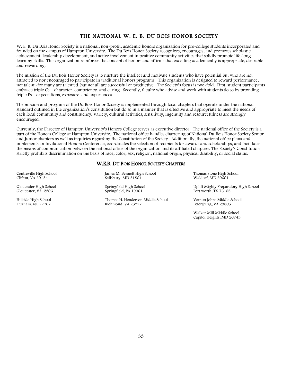## THE NATIONAL W. E. B. DU BOIS HONOR SOCIETY

W. E. B. Du Bois Honor Society is a national, non-profit, academic honors organization for pre-college students incorporated and founded on the campus of Hampton University. The Du Bois Honor Society recognizes, encourages, and promotes scholastic achievement, leadership development, and active involvement in positive community activities that solidly promote life-long learning skills. This organization reinforces the concept of honors and affirms that excelling academically is appropriate, desirable and rewarding.

The mission of the Du Bois Honor Society is to nurture the intellect and motivate students who have potential but who are not attracted to nor encouraged to participate in traditional honors programs. This organization is designed to reward performance, not talent -for many are talented, but not all are successful or productive. The Society's focus is two-fold. First, student participants embrace triple Cs – character, competency, and caring. Secondly, faculty who advise and work with students do so by providing triple Es – expectations, exposure, and experiences.

The mission and program of the Du Bois Honor Society is implemented through local chapters that operate under the national standard outlined in the organization's constitution but do so in a manner that is effective and appropriate to meet the needs of each local community and constituency. Variety, cultural activities, sensitivity, ingenuity and resourcefulness are strongly encouraged.

Currently, the Director of Hampton University's Honors College serves as executive director. The national office of the Society is a part of the Honors College at Hampton University. The national office handles chartering of National Du Bois Honor Society Senior and Junior chapters as well as inquiries regarding the Constitution of the Society. Additionally, the national office plans and implements an Invitational Honors Conference, coordinates the selection of recipients for awards and scholarships, and facilitates the means of communication between the national office of the organization and its affiliated chapters. The Society's Constitution strictly prohibits discrimination on the basis of race, color, sex, religion, national origin, physical disability, or social status.

### W.E.B. DU BOIS HONOR SOCIETY CHAPTERS

Centreville High School Clifton, VA 20124

Gloucester High School Gloucester, VA 23061

Hillside High School Durham, NC 27707

James M. Bennett High School Salisbury, MD 21804

Springfield High School Springfield, PA 19061

Thomas H. Henderson Middle School Richmond, VA 23227

Thomas Stone High School Waldorf, MD 20601

Uplift Mighty Preparatory High School Fort worth, TX 76105

Vernon Johns Middle School Petersburg, VA 23805

Walker Mill Middle School Capitol Heights, MD 20743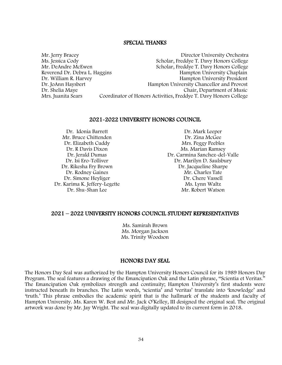### SPECIAL THANKS

Mr. Jerry Bracey Director University Orchestra Ms. Jessica Cody<br>
Ms. Jessica Cody<br>
Mr. DeAndre McEwen<br>
Scholar, Freddye T. Davy Honors College Scholar, Freddye T. Davy Honors College<br>Hampton University Chaplain Reverend Dr. Debra L. Haggins Dr. William R. Harvey **Hampton University President** Dr. JoAnn Haysbert Hampton University Chancellor and Provost Dr. Shelia Maye Chair, Department of Music Mrs. Juanita Sears Coordinator of Honors Activities, Freddye T. Davy Honors College

### 2021-2022 UNIVERSITY HONORS COUNCIL

Dr. Idonia Barrett Mr. Bruce Chittenden Dr. Elizabeth Cuddy Dr. R Davis Dixon Dr. Jerald Dumas Dr. Isi Ero-Tolliver Dr. Rikesha Fry Brown Dr. Rodney Gaines Dr. Simone Heyliger Dr. Karima K. Jeffery-Legette Dr. Shu-Shan Lee

Dr. Mark Leeper Dr. Zina McGee Mrs. Peggy Peebles Ms. Marian Ramsey Dr. Carmina Sanchez-del-Valle Dr. Marilyn D. Saulsbury Dr. Jacqueline Sharpe Mr. Charles Tate Dr. Chere Vassell Ms. Lynn Waltz Mr. Robert Watson

### 2021 – 2022 UNIVERSITY HONORS COUNCIL STUDENT REPRESENTATIVES

Ms. Samirah Brown Ms. Morgan Jackson Ms. Trinity Woodson

### HONORS DAY SEAL

The Honors Day Seal was authorized by the Hampton University Honors Council for its 1989 Honors Day Program. The seal features a drawing of the Emancipation Oak and the Latin phrase, "Scientia et Veritas." The Emancipation Oak symbolizes strength and continuity; Hampton University's first students were instructed beneath its branches. The Latin words, 'scientia' and 'veritas' translate into 'knowledge' and 'truth.' This phrase embodies the academic spirit that is the hallmark of the students and faculty of Hampton University. Ms. Karen W. Best and Mr. Jack O'Kelley, III designed the original seal. The original artwork was done by Mr. Jay Wright. The seal was digitally updated to its current form in 2018.